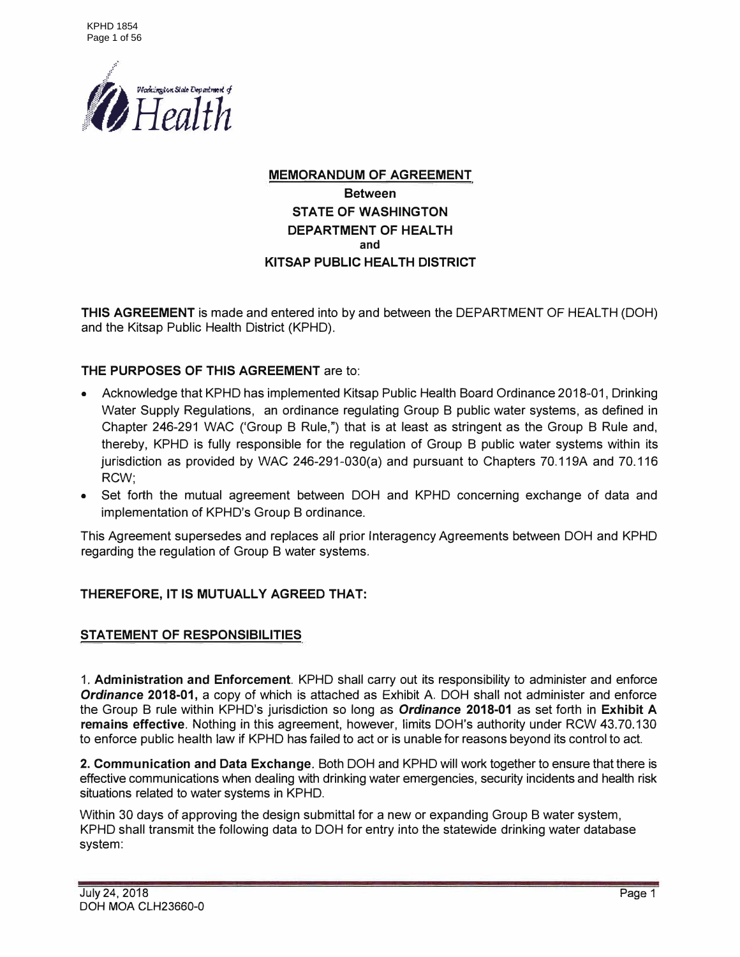

### **MEMORANDUM OF AGREEMENT Between STATE OF WASHINGTON DEPARTMENT OF HEALTH and KITSAP PUBLIC HEAL TH DISTRICT**

**THIS AGREEMENT** is made and entered into by and between the DEPARTMENT OF HEALTH (DOH) and the Kitsap Public Health District (KPHD).

#### **THE PURPOSES OF THIS AGREEMENT** are to:

- Acknowledge that KPHD has implemented Kitsap Public Health Board Ordinance 2018-01, Drinking Water Supply Regulations, an ordinance regulating Group B public water systems, as defined in Chapter 246-291 WAC ('Group B Rule,") that is at least as stringent as the Group B Rule and, thereby, KPHD is fully responsible for the regulation of Group B public water systems within its jurisdiction as provided by WAC 246-291-030(a) and pursuant to Chapters 70.119A and 70.116 RCW;
- Set forth the mutual agreement between DOH and KPHD concerning exchange of data and implementation of KPHD's Group B ordinance.

This Agreement supersedes and replaces all prior lnteragency Agreements between DOH and KPHD regarding the regulation of Group B water systems.

#### **THEREFORE, IT IS MUTUALLY AGREED THAT:**

#### **STATEMENT OF RESPONSIBILITIES**

1. **Administration and Enforcement.** KPHD shall carry out its responsibility to administer and enforce *Ordinance* **2018-01,** a copy of which is attached as Exhibit A. DOH shall not administer and enforce the Group B rule within KPHD's jurisdiction so long as *Ordinance* **2018-01** as set forth in **Exhibit A remains effective.** Nothing in this agreement, however, limits DOH's authority under RCW 43.70.130 to enforce public health law if KPHD has failed to act or is unable for reasons beyond its control to act.

**2. Communication and Data Exchange.** Both DOH and KPHD will work together to ensure that there is effective communications when dealing with drinking water emergencies, security incidents and health risk situations related to water systems in KPHD.

Within 30 days of approving the design submittal for a new or expanding Group B water system, KPHD shall transmit the following data to DOH for entry into the statewide drinking water database system: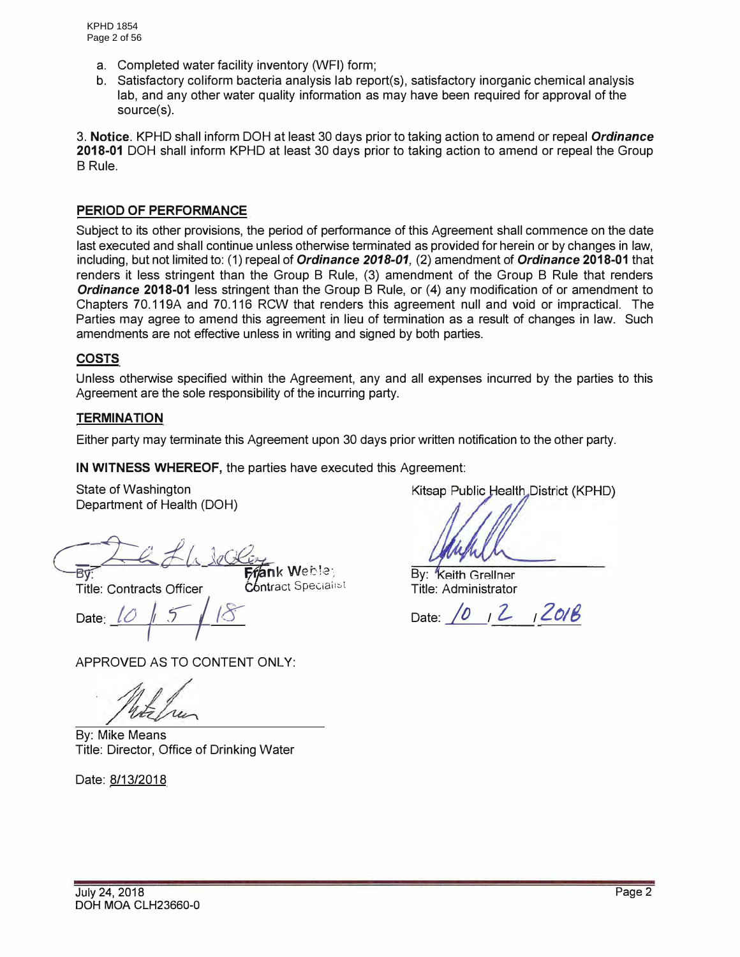- a. Completed water facility inventory (WFI) form;
- b. Satisfactory coliform bacteria analysis lab report(s), satisfactory inorganic chemical analysis lab, and any other water quality information as may have been required for approval of the source(s).

3. **Notice.** KPHD shall inform DOH at least 30 days prior to taking action to amend or repeal *Ordinance* **2018-01** DOH shall inform KPHD at least 30 days prior to taking action to amend or repeal the Group B Rule.

#### **PERIOD OF PERFORMANCE**

Subject to its other provisions, the period of performance of this Agreement shall commence on the date last executed and shall continue unless otherwise terminated as provided for herein or by changes in law, including, but not limited to: (1) repeal of *Ordinance 2018-01,* (2) amendment of *Ordinance* **2018-01** that renders it less stringent than the Group B Rule, (3) amendment of the Group B Rule that renders *Ordinance* **2018-01** less stringent than the Group B Rule, or (4) any modification of or amendment to Chapters 70.119A and 70.116 RCW that renders this agreement null and void or impractical. The Parties may agree to amend this agreement in lieu of termination as a result of changes in law. Such amendments are not effective unless in writing and signed by both parties.

#### **COSTS**

Unless otherwise specified within the Agreement, any and all expenses incurred by the parties to this Agreement are the sole responsibility of the incurring party.

#### **TERMINATION**

Either party may terminate this Agreement upon 30 days prior written notification to the other party.

**IN WITNESS WHEREOF,** the parties have executed this Agreement:

State of Washington Department of Health (DOH)

By<br>— G L. L. Le Clery Weisler

**Title: Contracts Officer Contract Specialist** 

Date:  $10 |5 |8$ 

APPROVED AS TO CONTENT ONLY:

By: Mike Means Title: Director, Office of Drinking Water

Date: 8/13/2018

Kitsap Public Health District (KPHD)

**By: Keith Grellner** Title: Administrator

Date: 10, 2, 2018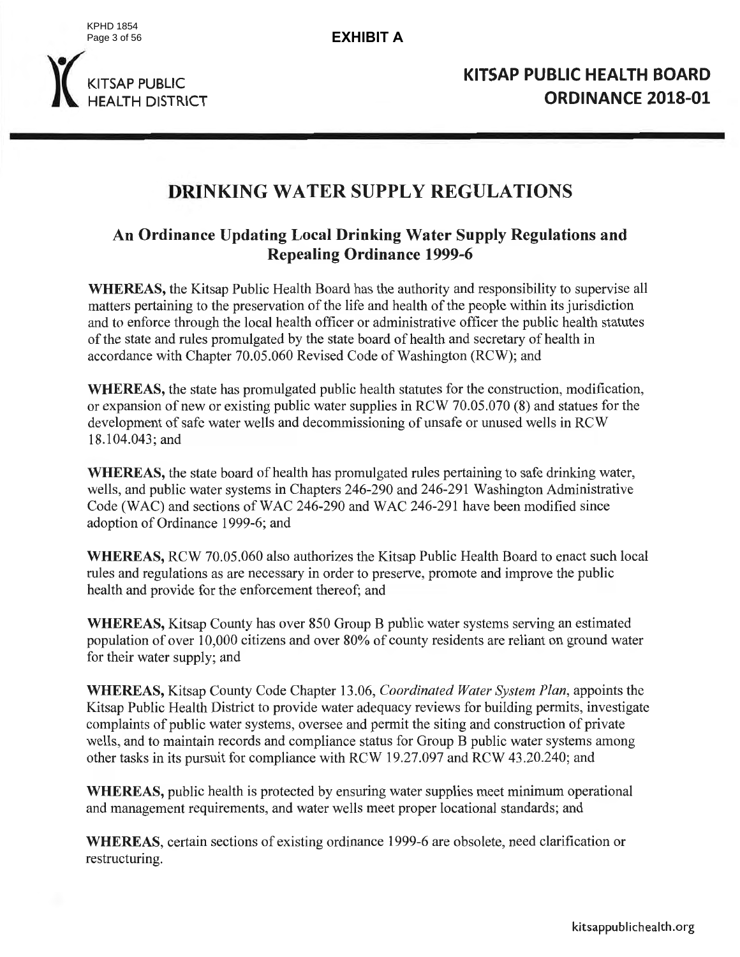KPHD 1854 Page 3 of 56

**EXHIBIT A**



# **DRINKING WATER SUPPLY REGULATIONS**

# An Ordinance Updating Local Drinking Water Supply Regulations and **Repealing Ordinance 1999-6**

WHEREAS, the Kitsap Public Health Board has the authority and responsibility to supervise all matters pertaining to the preservation of the life and health of the people within its jurisdiction and to enforce through the local health officer or administrative officer the public health statutes of the state and rules promulgated by the state board of health and secretary of health in accordance with Chapter 70.05.060 Revised Code of Washington (RCW); and

WHEREAS, the state has promulgated public health statutes for the construction, modification, or expansion of new or existing public water supplies in RCW 70.05.070 (8) and statues for the development of safe water wells and decommissioning of unsafe or unused wells in RCW 18.104.043; and

WHEREAS, the state board of health has promulgated rules pertaining to safe drinking water, wells, and public water systems in Chapters 246-290 and 246-291 Washington Administrative Code (WAC) and sections of WAC 246-290 and WAC 246-291 have been modified since adoption of Ordinance 1999-6; and

**WHEREAS, RCW 70.05.060 also authorizes the Kitsap Public Health Board to enact such local** rules and regulations as are necessary in order to preserve, promote and improve the public health and provide for the enforcement thereof; and

**WHEREAS, Kitsap County has over 850 Group B public water systems serving an estimated** population of over 10,000 citizens and over 80% of county residents are reliant on ground water for their water supply; and

**WHEREAS, Kitsap County Code Chapter 13.06, Coordinated Water System Plan, appoints the** Kitsap Public Health District to provide water adequacy reviews for building permits, investigate complaints of public water systems, oversee and permit the siting and construction of private wells, and to maintain records and compliance status for Group B public water systems among other tasks in its pursuit for compliance with RCW 19.27.097 and RCW 43.20.240; and

WHEREAS, public health is protected by ensuring water supplies meet minimum operational and management requirements, and water wells meet proper locational standards; and

**WHEREAS**, certain sections of existing ordinance 1999-6 are obsolete, need clarification or restructuring.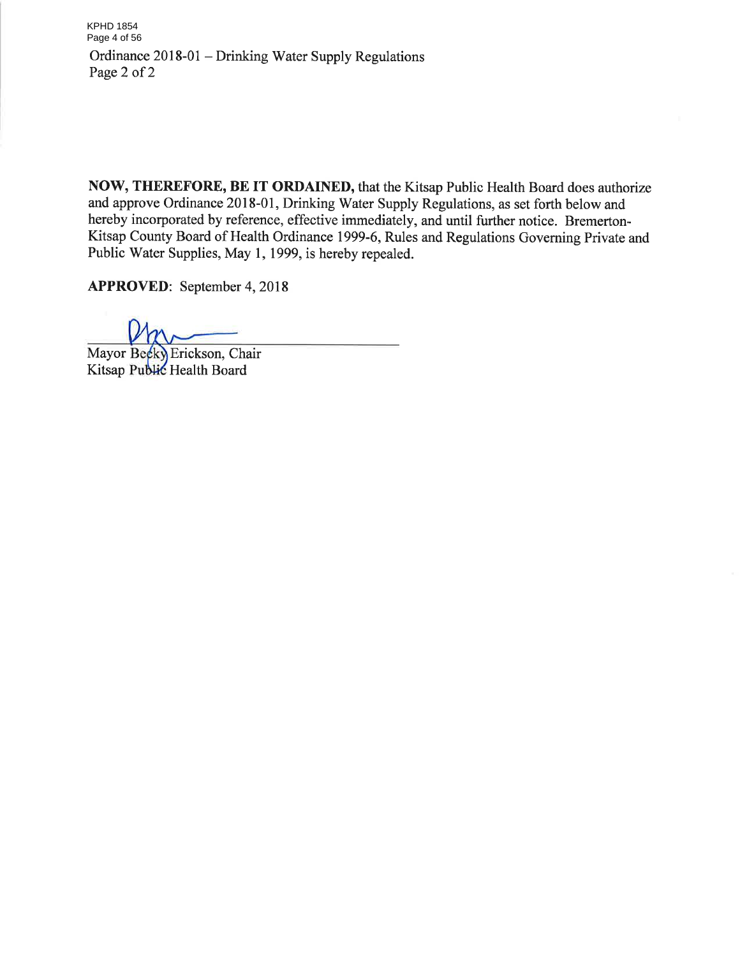KPHD 1854 Page 4 of 56Ordinance 2018-01 – Drinking Water Supply Regulations Page 2 of 2

NOW, THEREFORE, BE IT ORDAINED, that the Kitsap Public Health Board does authorize and approve Ordinance 2018-01, Drinking Water Supply Regulations, as set forth below and hereby incorporated by reference, effective immediately, and until further notice. Bremerton-Kitsap County Board of Health Ordinance 1999-6, Rules and Regulations Governing Private and Public Water Supplies, May 1, 1999, is hereby repealed.

**APPROVED:** September 4, 2018

Mayor Becky Erickson, Chair Kitsap Public Health Board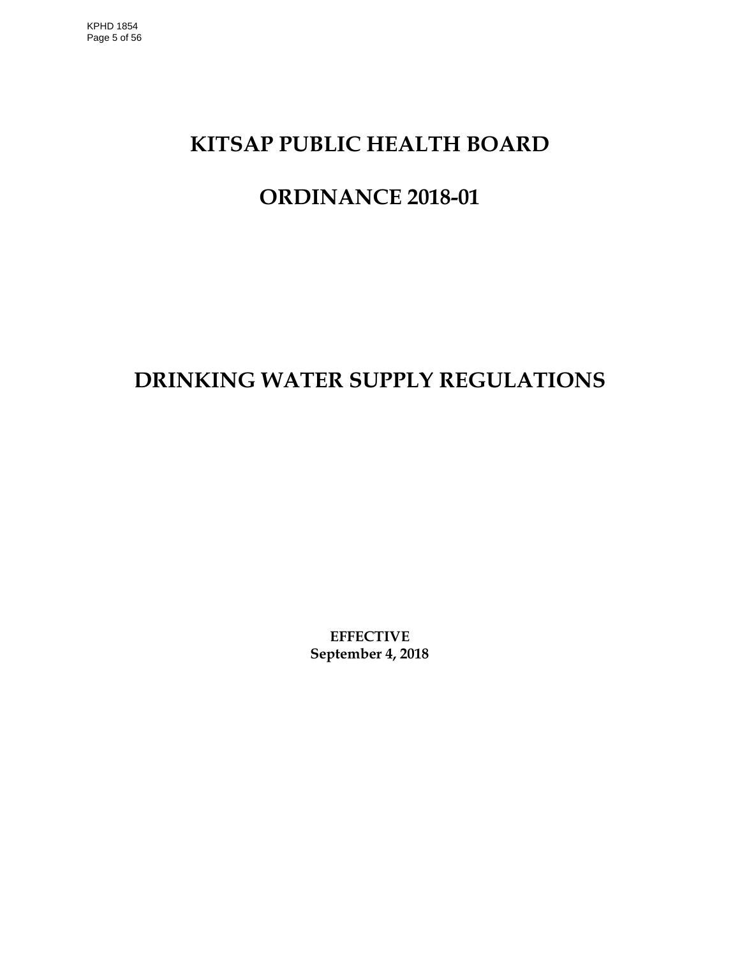# **KITSAP PUBLIC HEALTH BOARD**

# **ORDINANCE 2018-01**

# **DRINKING WATER SUPPLY REGULATIONS**

**EFFECTIVE September 4, 2018**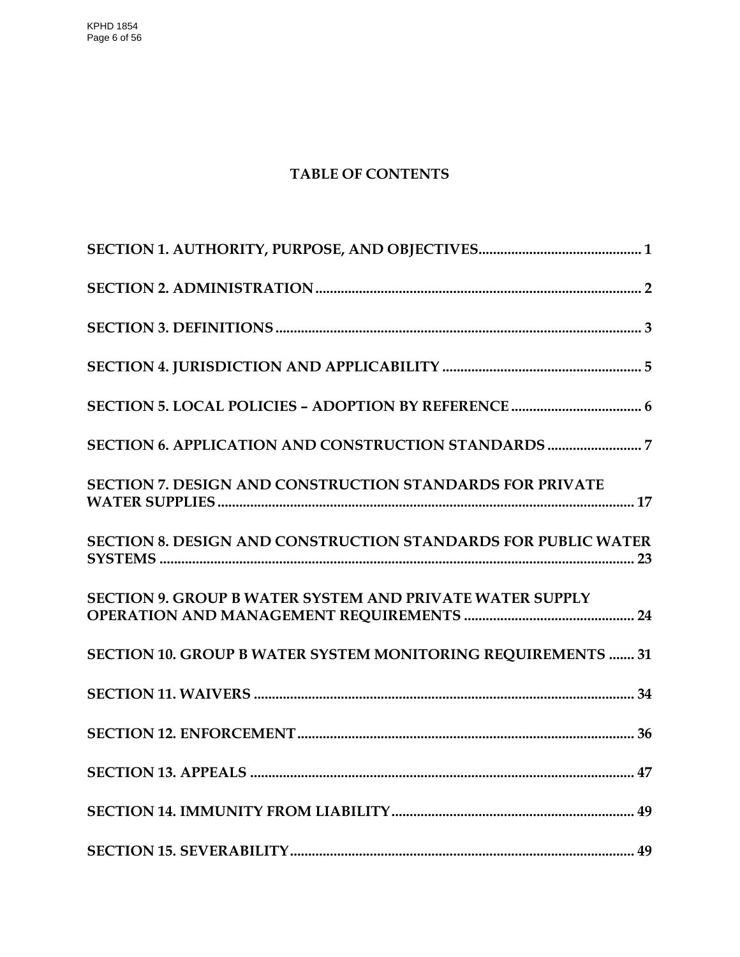KPHD 1854 Page 6 of 56

# **TABLE OF CONTENTS**

| SECTION 7. DESIGN AND CONSTRUCTION STANDARDS FOR PRIVATE             |
|----------------------------------------------------------------------|
| <b>SECTION 8. DESIGN AND CONSTRUCTION STANDARDS FOR PUBLIC WATER</b> |
| <b>SECTION 9. GROUP B WATER SYSTEM AND PRIVATE WATER SUPPLY</b>      |
| SECTION 10. GROUP B WATER SYSTEM MONITORING REQUIREMENTS  31         |
|                                                                      |
|                                                                      |
|                                                                      |
|                                                                      |
|                                                                      |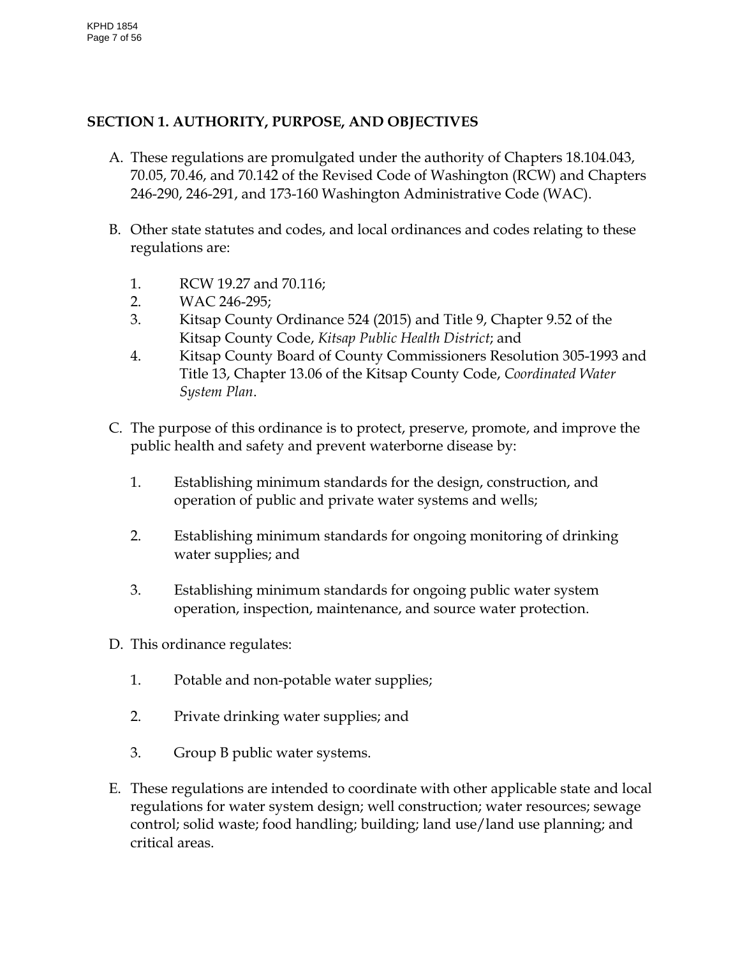# <span id="page-6-0"></span>**SECTION 1. AUTHORITY, PURPOSE, AND OBJECTIVES**

- A. These regulations are promulgated under the authority of Chapters 18.104.043, 70.05, 70.46, and 70.142 of the Revised Code of Washington (RCW) and Chapters 246-290, 246-291, and 173-160 Washington Administrative Code (WAC).
- B. Other state statutes and codes, and local ordinances and codes relating to these regulations are:
	- 1. RCW 19.27 and 70.116;
	- 2. WAC 246-295;
	- 3. Kitsap County Ordinance 524 (2015) and Title 9, Chapter 9.52 of the Kitsap County Code, *Kitsap Public Health District*; and
	- 4. Kitsap County Board of County Commissioners Resolution 305-1993 and Title 13, Chapter 13.06 of the Kitsap County Code, *Coordinated Water System Plan*.
- C. The purpose of this ordinance is to protect, preserve, promote, and improve the public health and safety and prevent waterborne disease by:
	- 1. Establishing minimum standards for the design, construction, and operation of public and private water systems and wells;
	- 2. Establishing minimum standards for ongoing monitoring of drinking water supplies; and
	- 3. Establishing minimum standards for ongoing public water system operation, inspection, maintenance, and source water protection.
- D. This ordinance regulates:
	- 1. Potable and non-potable water supplies;
	- 2. Private drinking water supplies; and
	- 3. Group B public water systems.
- E. These regulations are intended to coordinate with other applicable state and local regulations for water system design; well construction; water resources; sewage control; solid waste; food handling; building; land use/land use planning; and critical areas.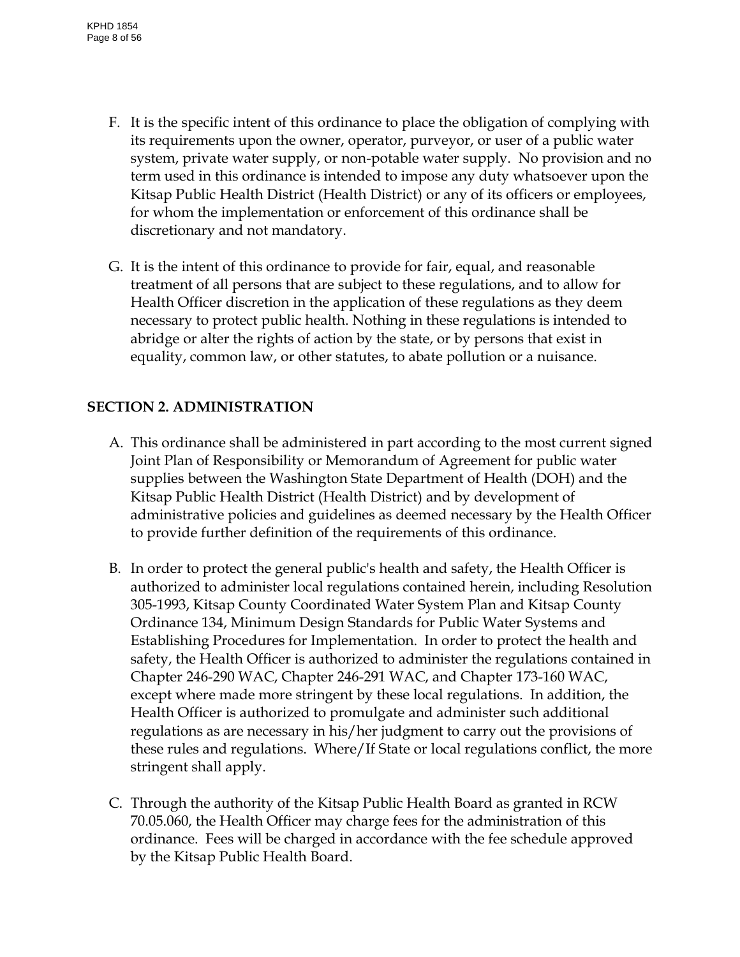- F. It is the specific intent of this ordinance to place the obligation of complying with its requirements upon the owner, operator, purveyor, or user of a public water system, private water supply, or non-potable water supply. No provision and no term used in this ordinance is intended to impose any duty whatsoever upon the Kitsap Public Health District (Health District) or any of its officers or employees, for whom the implementation or enforcement of this ordinance shall be discretionary and not mandatory.
- G. It is the intent of this ordinance to provide for fair, equal, and reasonable treatment of all persons that are subject to these regulations, and to allow for Health Officer discretion in the application of these regulations as they deem necessary to protect public health. Nothing in these regulations is intended to abridge or alter the rights of action by the state, or by persons that exist in equality, common law, or other statutes, to abate pollution or a nuisance.

#### <span id="page-7-0"></span>**SECTION 2. ADMINISTRATION**

- A. This ordinance shall be administered in part according to the most current signed Joint Plan of Responsibility or Memorandum of Agreement for public water supplies between the Washington State Department of Health (DOH) and the Kitsap Public Health District (Health District) and by development of administrative policies and guidelines as deemed necessary by the Health Officer to provide further definition of the requirements of this ordinance.
- B. In order to protect the general public's health and safety, the Health Officer is authorized to administer local regulations contained herein, including Resolution 305-1993, Kitsap County Coordinated Water System Plan and Kitsap County Ordinance 134, Minimum Design Standards for Public Water Systems and Establishing Procedures for Implementation. In order to protect the health and safety, the Health Officer is authorized to administer the regulations contained in Chapter 246-290 WAC, Chapter 246-291 WAC, and Chapter 173-160 WAC, except where made more stringent by these local regulations. In addition, the Health Officer is authorized to promulgate and administer such additional regulations as are necessary in his/her judgment to carry out the provisions of these rules and regulations. Where/If State or local regulations conflict, the more stringent shall apply.
- C. Through the authority of the Kitsap Public Health Board as granted in RCW 70.05.060, the Health Officer may charge fees for the administration of this ordinance. Fees will be charged in accordance with the fee schedule approved by the Kitsap Public Health Board.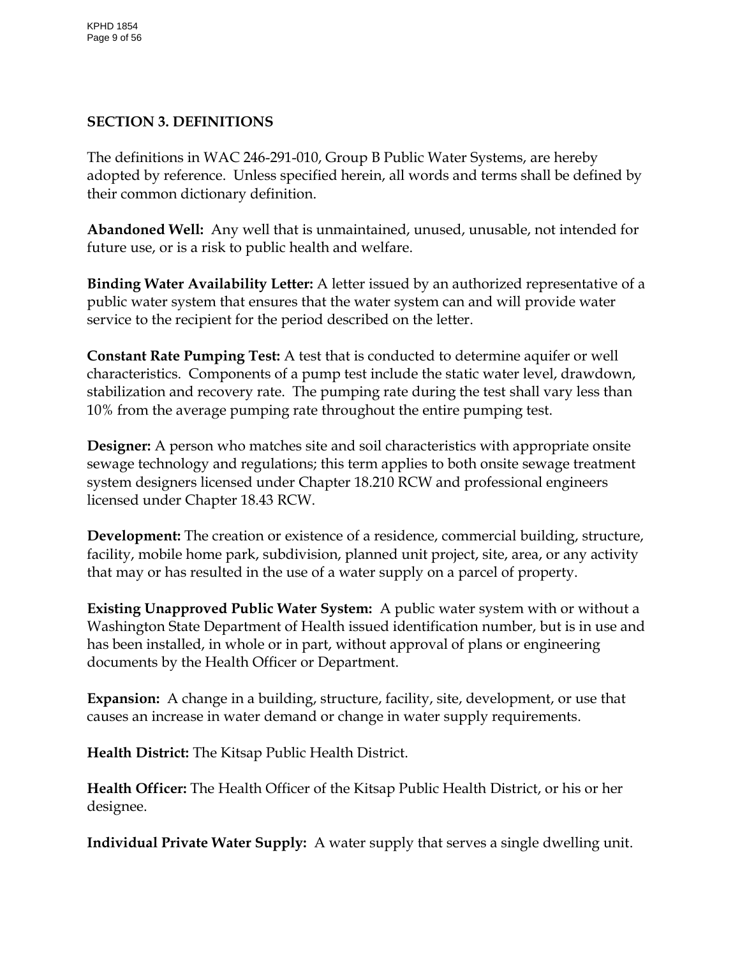# <span id="page-8-0"></span>**SECTION 3. DEFINITIONS**

The definitions in WAC 246-291-010, Group B Public Water Systems, are hereby adopted by reference. Unless specified herein, all words and terms shall be defined by their common dictionary definition.

**Abandoned Well:** Any well that is unmaintained, unused, unusable, not intended for future use, or is a risk to public health and welfare.

**Binding Water Availability Letter:** A letter issued by an authorized representative of a public water system that ensures that the water system can and will provide water service to the recipient for the period described on the letter.

**Constant Rate Pumping Test:** A test that is conducted to determine aquifer or well characteristics. Components of a pump test include the static water level, drawdown, stabilization and recovery rate. The pumping rate during the test shall vary less than 10% from the average pumping rate throughout the entire pumping test.

**Designer:** A person who matches site and soil characteristics with appropriate onsite sewage technology and regulations; this term applies to both onsite sewage treatment system designers licensed under Chapter 18.210 RCW and professional engineers licensed under Chapter 18.43 RCW.

**Development:** The creation or existence of a residence, commercial building, structure, facility, mobile home park, subdivision, planned unit project, site, area, or any activity that may or has resulted in the use of a water supply on a parcel of property.

**Existing Unapproved Public Water System:** A public water system with or without a Washington State Department of Health issued identification number, but is in use and has been installed, in whole or in part, without approval of plans or engineering documents by the Health Officer or Department.

**Expansion:** A change in a building, structure, facility, site, development, or use that causes an increase in water demand or change in water supply requirements.

**Health District:** The Kitsap Public Health District.

**Health Officer:** The Health Officer of the Kitsap Public Health District, or his or her designee.

**Individual Private Water Supply:** A water supply that serves a single dwelling unit.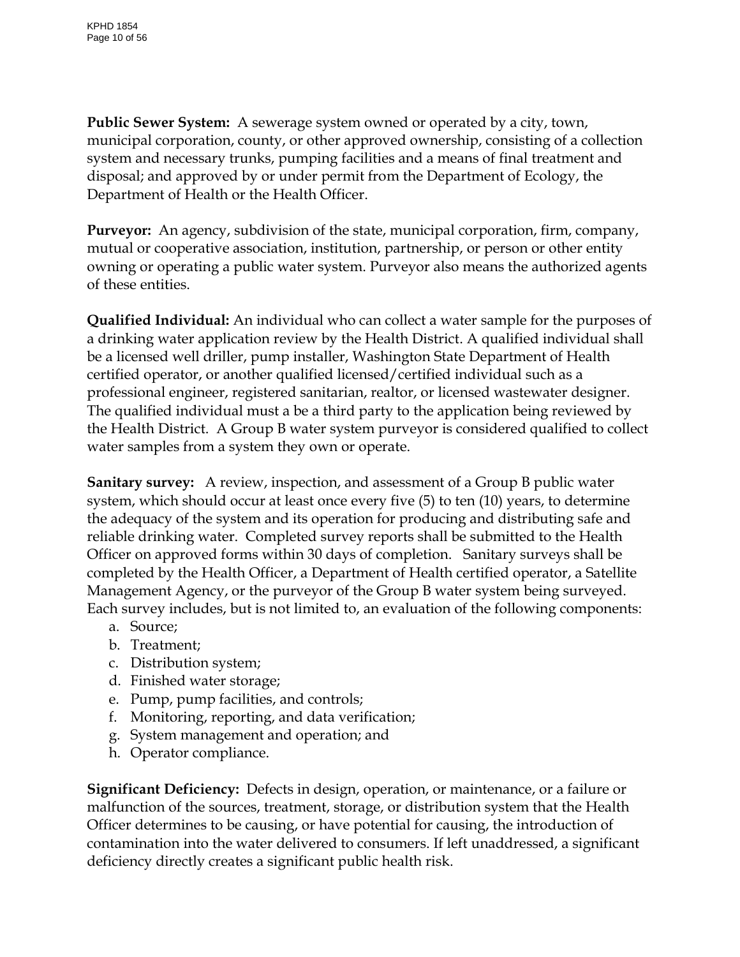**Public Sewer System:** A sewerage system owned or operated by a city, town, municipal corporation, county, or other approved ownership, consisting of a collection system and necessary trunks, pumping facilities and a means of final treatment and disposal; and approved by or under permit from the Department of Ecology, the Department of Health or the Health Officer.

**Purveyor:** An agency, subdivision of the state, municipal corporation, firm, company, mutual or cooperative association, institution, partnership, or person or other entity owning or operating a public water system. Purveyor also means the authorized agents of these entities.

**Qualified Individual:** An individual who can collect a water sample for the purposes of a drinking water application review by the Health District. A qualified individual shall be a licensed well driller, pump installer, Washington State Department of Health certified operator, or another qualified licensed/certified individual such as a professional engineer, registered sanitarian, realtor, or licensed wastewater designer. The qualified individual must a be a third party to the application being reviewed by the Health District. A Group B water system purveyor is considered qualified to collect water samples from a system they own or operate.

**Sanitary survey:** A review, inspection, and assessment of a Group B public water system, which should occur at least once every five (5) to ten (10) years, to determine the adequacy of the system and its operation for producing and distributing safe and reliable drinking water. Completed survey reports shall be submitted to the Health Officer on approved forms within 30 days of completion. Sanitary surveys shall be completed by the Health Officer, a Department of Health certified operator, a Satellite Management Agency, or the purveyor of the Group B water system being surveyed. Each survey includes, but is not limited to, an evaluation of the following components:

- a. Source;
- b. Treatment;
- c. Distribution system;
- d. Finished water storage;
- e. Pump, pump facilities, and controls;
- f. Monitoring, reporting, and data verification;
- g. System management and operation; and
- h. Operator compliance.

**Significant Deficiency:** Defects in design, operation, or maintenance, or a failure or malfunction of the sources, treatment, storage, or distribution system that the Health Officer determines to be causing, or have potential for causing, the introduction of contamination into the water delivered to consumers. If left unaddressed, a significant deficiency directly creates a significant public health risk.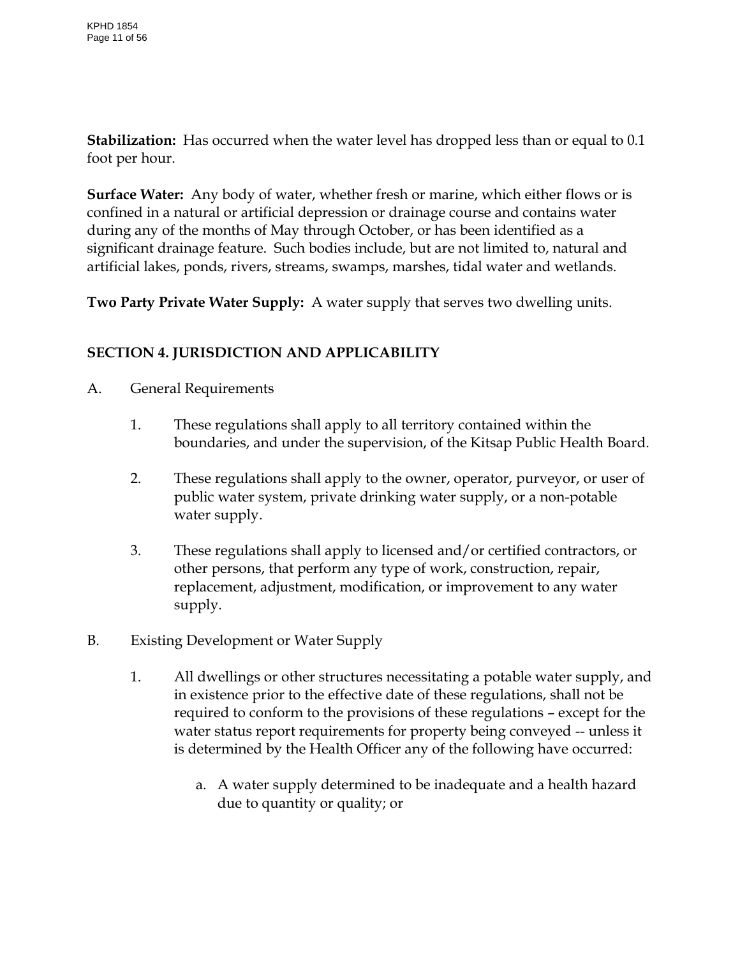**Stabilization:** Has occurred when the water level has dropped less than or equal to 0.1 foot per hour.

**Surface Water:** Any body of water, whether fresh or marine, which either flows or is confined in a natural or artificial depression or drainage course and contains water during any of the months of May through October, or has been identified as a significant drainage feature. Such bodies include, but are not limited to, natural and artificial lakes, ponds, rivers, streams, swamps, marshes, tidal water and wetlands.

**Two Party Private Water Supply:** A water supply that serves two dwelling units.

# <span id="page-10-0"></span>**SECTION 4. JURISDICTION AND APPLICABILITY**

- A. General Requirements
	- 1. These regulations shall apply to all territory contained within the boundaries, and under the supervision, of the Kitsap Public Health Board.
	- 2. These regulations shall apply to the owner, operator, purveyor, or user of public water system, private drinking water supply, or a non-potable water supply.
	- 3. These regulations shall apply to licensed and/or certified contractors, or other persons, that perform any type of work, construction, repair, replacement, adjustment, modification, or improvement to any water supply.
- B. Existing Development or Water Supply
	- 1. All dwellings or other structures necessitating a potable water supply, and in existence prior to the effective date of these regulations, shall not be required to conform to the provisions of these regulations – except for the water status report requirements for property being conveyed -- unless it is determined by the Health Officer any of the following have occurred:
		- a. A water supply determined to be inadequate and a health hazard due to quantity or quality; or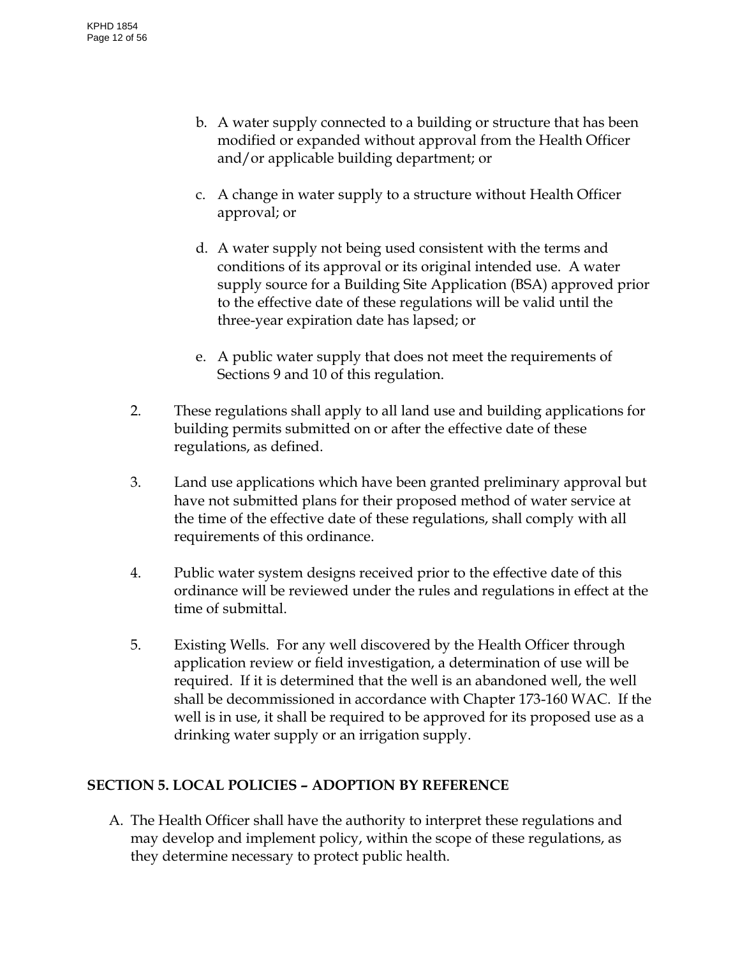- b. A water supply connected to a building or structure that has been modified or expanded without approval from the Health Officer and/or applicable building department; or
- c. A change in water supply to a structure without Health Officer approval; or
- d. A water supply not being used consistent with the terms and conditions of its approval or its original intended use. A water supply source for a Building Site Application (BSA) approved prior to the effective date of these regulations will be valid until the three-year expiration date has lapsed; or
- e. A public water supply that does not meet the requirements of Sections 9 and 10 of this regulation.
- 2. These regulations shall apply to all land use and building applications for building permits submitted on or after the effective date of these regulations, as defined.
- 3. Land use applications which have been granted preliminary approval but have not submitted plans for their proposed method of water service at the time of the effective date of these regulations, shall comply with all requirements of this ordinance.
- 4. Public water system designs received prior to the effective date of this ordinance will be reviewed under the rules and regulations in effect at the time of submittal.
- 5. Existing Wells. For any well discovered by the Health Officer through application review or field investigation, a determination of use will be required. If it is determined that the well is an abandoned well, the well shall be decommissioned in accordance with Chapter 173-160 WAC. If the well is in use, it shall be required to be approved for its proposed use as a drinking water supply or an irrigation supply.

# <span id="page-11-0"></span>**SECTION 5. LOCAL POLICIES – ADOPTION BY REFERENCE**

A. The Health Officer shall have the authority to interpret these regulations and may develop and implement policy, within the scope of these regulations, as they determine necessary to protect public health.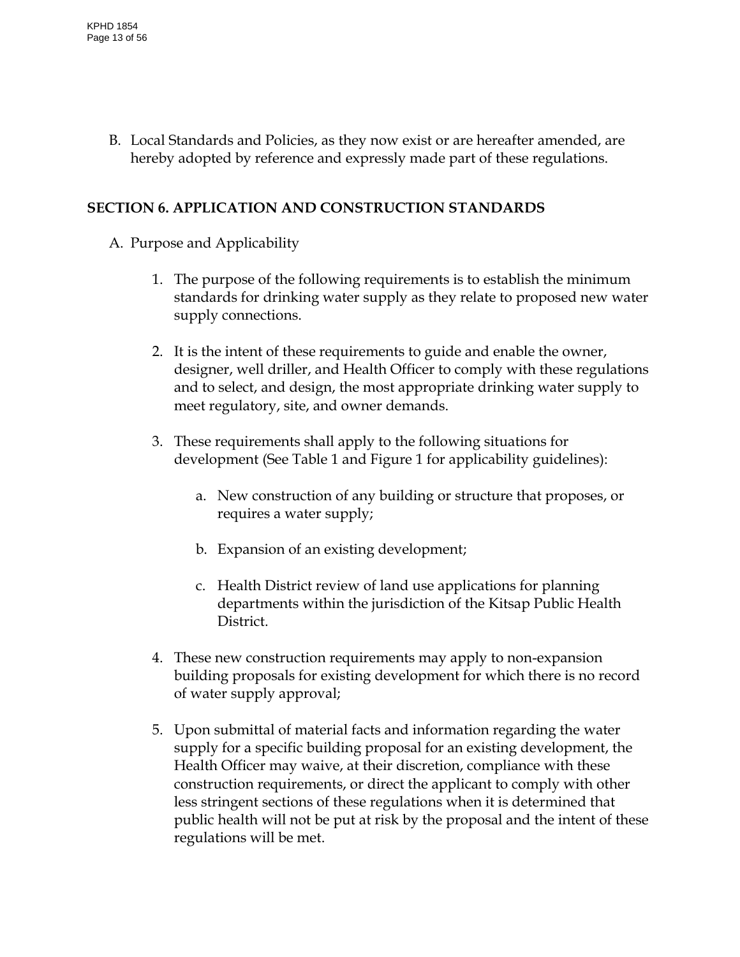B. Local Standards and Policies, as they now exist or are hereafter amended, are hereby adopted by reference and expressly made part of these regulations.

### <span id="page-12-0"></span>**SECTION 6. APPLICATION AND CONSTRUCTION STANDARDS**

- A. Purpose and Applicability
	- 1. The purpose of the following requirements is to establish the minimum standards for drinking water supply as they relate to proposed new water supply connections.
	- 2. It is the intent of these requirements to guide and enable the owner, designer, well driller, and Health Officer to comply with these regulations and to select, and design, the most appropriate drinking water supply to meet regulatory, site, and owner demands.
	- 3. These requirements shall apply to the following situations for development (See Table 1 and Figure 1 for applicability guidelines):
		- a. New construction of any building or structure that proposes, or requires a water supply;
		- b. Expansion of an existing development;
		- c. Health District review of land use applications for planning departments within the jurisdiction of the Kitsap Public Health District.
	- 4. These new construction requirements may apply to non-expansion building proposals for existing development for which there is no record of water supply approval;
	- 5. Upon submittal of material facts and information regarding the water supply for a specific building proposal for an existing development, the Health Officer may waive, at their discretion, compliance with these construction requirements, or direct the applicant to comply with other less stringent sections of these regulations when it is determined that public health will not be put at risk by the proposal and the intent of these regulations will be met.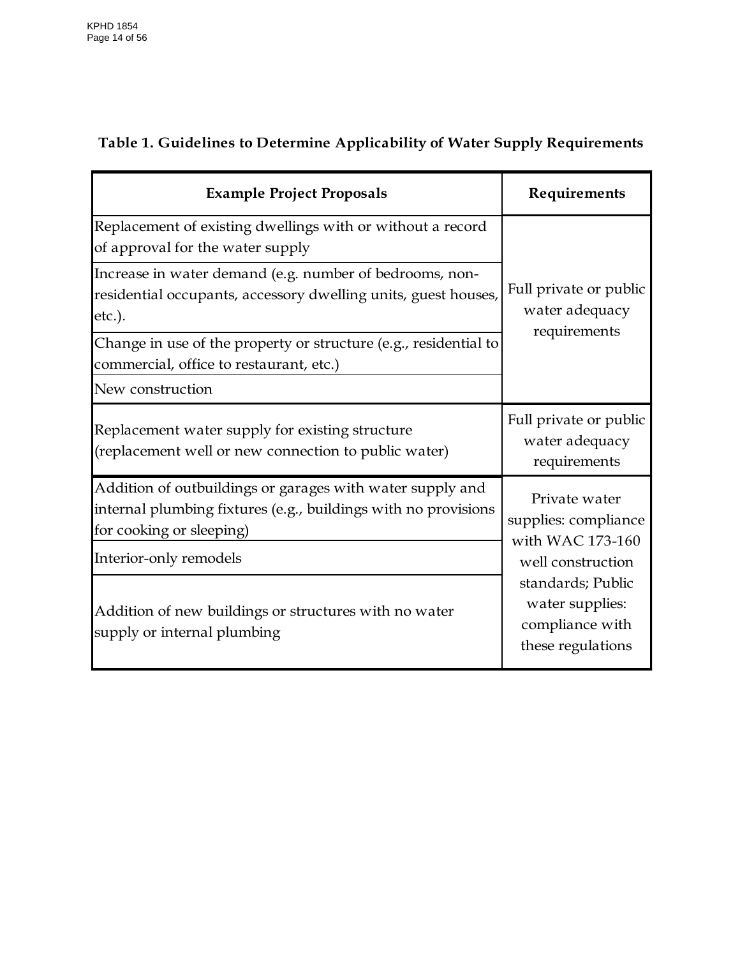# **Table 1. Guidelines to Determine Applicability of Water Supply Requirements**

| <b>Example Project Proposals</b>                                                                                                                        | Requirements                                                                                                                                                   |  |
|---------------------------------------------------------------------------------------------------------------------------------------------------------|----------------------------------------------------------------------------------------------------------------------------------------------------------------|--|
| Replacement of existing dwellings with or without a record<br>of approval for the water supply                                                          | Full private or public<br>water adequacy<br>requirements                                                                                                       |  |
| Increase in water demand (e.g. number of bedrooms, non-<br>residential occupants, accessory dwelling units, guest houses,<br>etc.).                     |                                                                                                                                                                |  |
| Change in use of the property or structure (e.g., residential to<br>commercial, office to restaurant, etc.)                                             |                                                                                                                                                                |  |
| New construction                                                                                                                                        |                                                                                                                                                                |  |
| Replacement water supply for existing structure<br>(replacement well or new connection to public water)                                                 | Full private or public<br>water adequacy<br>requirements                                                                                                       |  |
| Addition of outbuildings or garages with water supply and<br>internal plumbing fixtures (e.g., buildings with no provisions<br>for cooking or sleeping) | Private water<br>supplies: compliance<br>with WAC 173-160<br>well construction<br>standards; Public<br>water supplies:<br>compliance with<br>these regulations |  |
| Interior-only remodels                                                                                                                                  |                                                                                                                                                                |  |
| Addition of new buildings or structures with no water<br>supply or internal plumbing                                                                    |                                                                                                                                                                |  |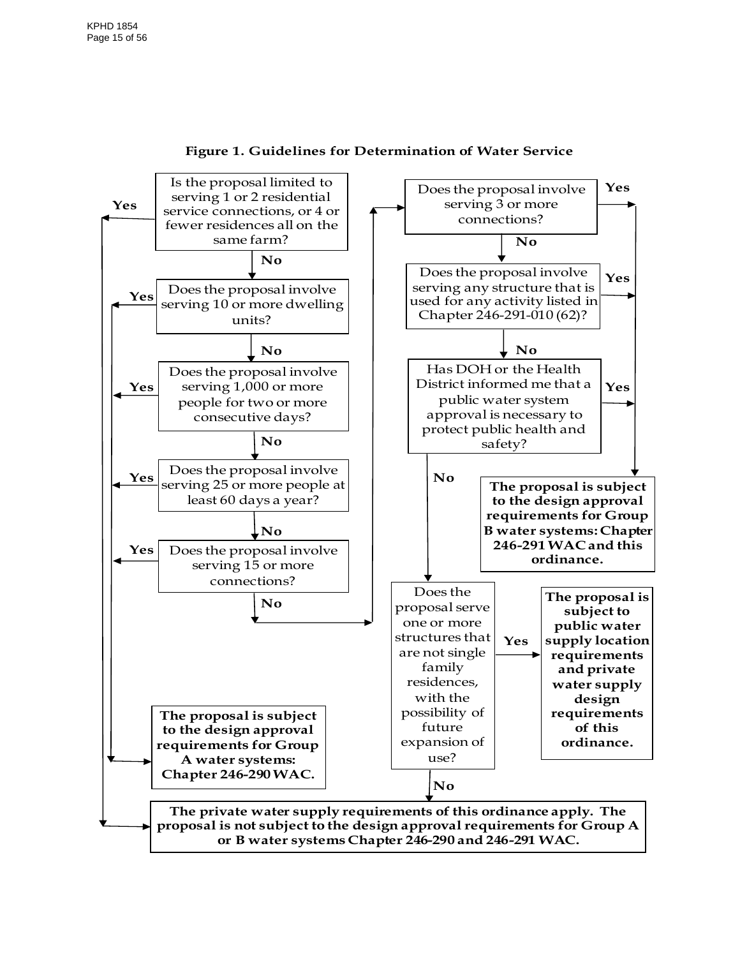

**Figure 1. Guidelines for Determination of Water Service**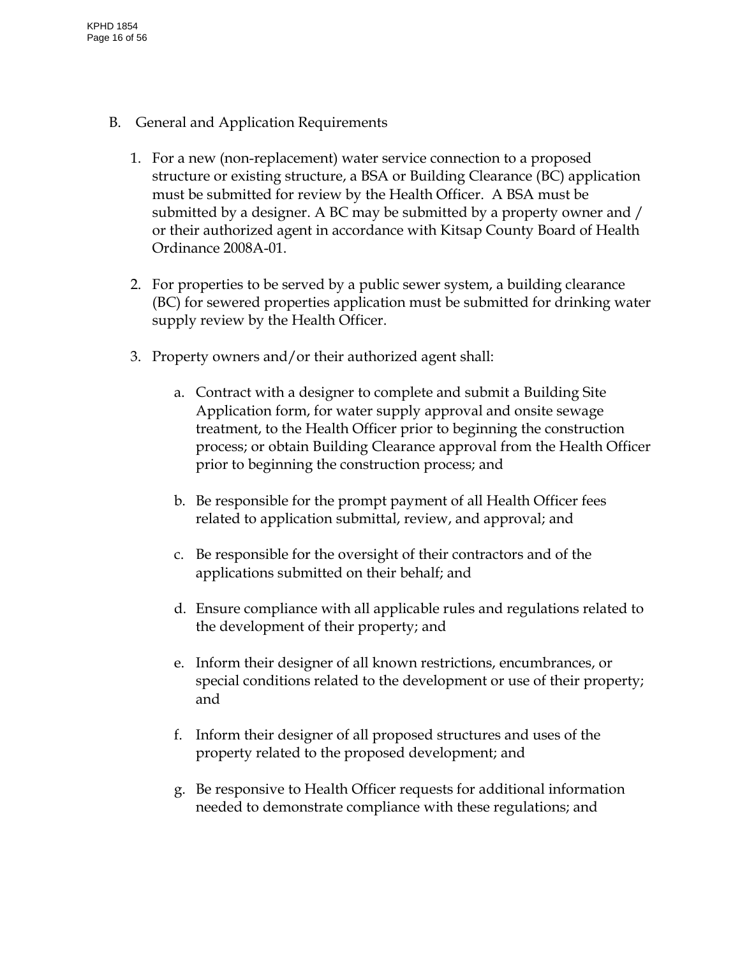- B. General and Application Requirements
	- 1. For a new (non-replacement) water service connection to a proposed structure or existing structure, a BSA or Building Clearance (BC) application must be submitted for review by the Health Officer. A BSA must be submitted by a designer. A BC may be submitted by a property owner and / or their authorized agent in accordance with Kitsap County Board of Health Ordinance 2008A-01.
	- 2. For properties to be served by a public sewer system, a building clearance (BC) for sewered properties application must be submitted for drinking water supply review by the Health Officer.
	- 3. Property owners and/or their authorized agent shall:
		- a. Contract with a designer to complete and submit a Building Site Application form, for water supply approval and onsite sewage treatment, to the Health Officer prior to beginning the construction process; or obtain Building Clearance approval from the Health Officer prior to beginning the construction process; and
		- b. Be responsible for the prompt payment of all Health Officer fees related to application submittal, review, and approval; and
		- c. Be responsible for the oversight of their contractors and of the applications submitted on their behalf; and
		- d. Ensure compliance with all applicable rules and regulations related to the development of their property; and
		- e. Inform their designer of all known restrictions, encumbrances, or special conditions related to the development or use of their property; and
		- f. Inform their designer of all proposed structures and uses of the property related to the proposed development; and
		- g. Be responsive to Health Officer requests for additional information needed to demonstrate compliance with these regulations; and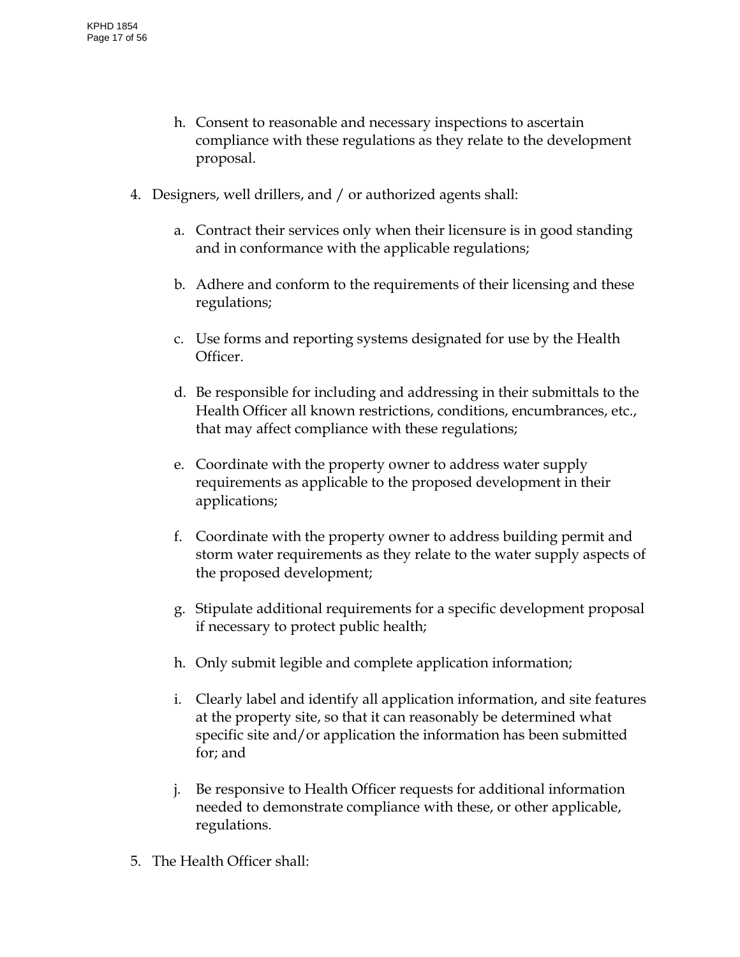- h. Consent to reasonable and necessary inspections to ascertain compliance with these regulations as they relate to the development proposal.
- 4. Designers, well drillers, and / or authorized agents shall:
	- a. Contract their services only when their licensure is in good standing and in conformance with the applicable regulations;
	- b. Adhere and conform to the requirements of their licensing and these regulations;
	- c. Use forms and reporting systems designated for use by the Health Officer.
	- d. Be responsible for including and addressing in their submittals to the Health Officer all known restrictions, conditions, encumbrances, etc., that may affect compliance with these regulations;
	- e. Coordinate with the property owner to address water supply requirements as applicable to the proposed development in their applications;
	- f. Coordinate with the property owner to address building permit and storm water requirements as they relate to the water supply aspects of the proposed development;
	- g. Stipulate additional requirements for a specific development proposal if necessary to protect public health;
	- h. Only submit legible and complete application information;
	- i. Clearly label and identify all application information, and site features at the property site, so that it can reasonably be determined what specific site and/or application the information has been submitted for; and
	- j. Be responsive to Health Officer requests for additional information needed to demonstrate compliance with these, or other applicable, regulations.
- 5. The Health Officer shall: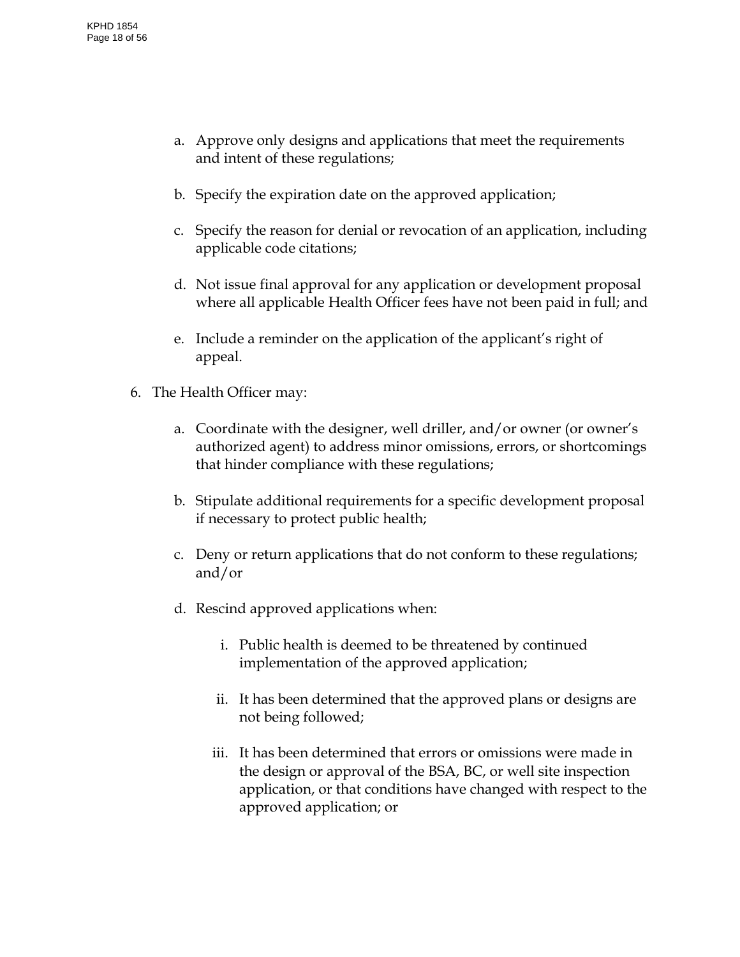- a. Approve only designs and applications that meet the requirements and intent of these regulations;
- b. Specify the expiration date on the approved application;
- c. Specify the reason for denial or revocation of an application, including applicable code citations;
- d. Not issue final approval for any application or development proposal where all applicable Health Officer fees have not been paid in full; and
- e. Include a reminder on the application of the applicant's right of appeal.
- 6. The Health Officer may:
	- a. Coordinate with the designer, well driller, and/or owner (or owner's authorized agent) to address minor omissions, errors, or shortcomings that hinder compliance with these regulations;
	- b. Stipulate additional requirements for a specific development proposal if necessary to protect public health;
	- c. Deny or return applications that do not conform to these regulations; and/or
	- d. Rescind approved applications when:
		- i. Public health is deemed to be threatened by continued implementation of the approved application;
		- ii. It has been determined that the approved plans or designs are not being followed;
		- iii. It has been determined that errors or omissions were made in the design or approval of the BSA, BC, or well site inspection application, or that conditions have changed with respect to the approved application; or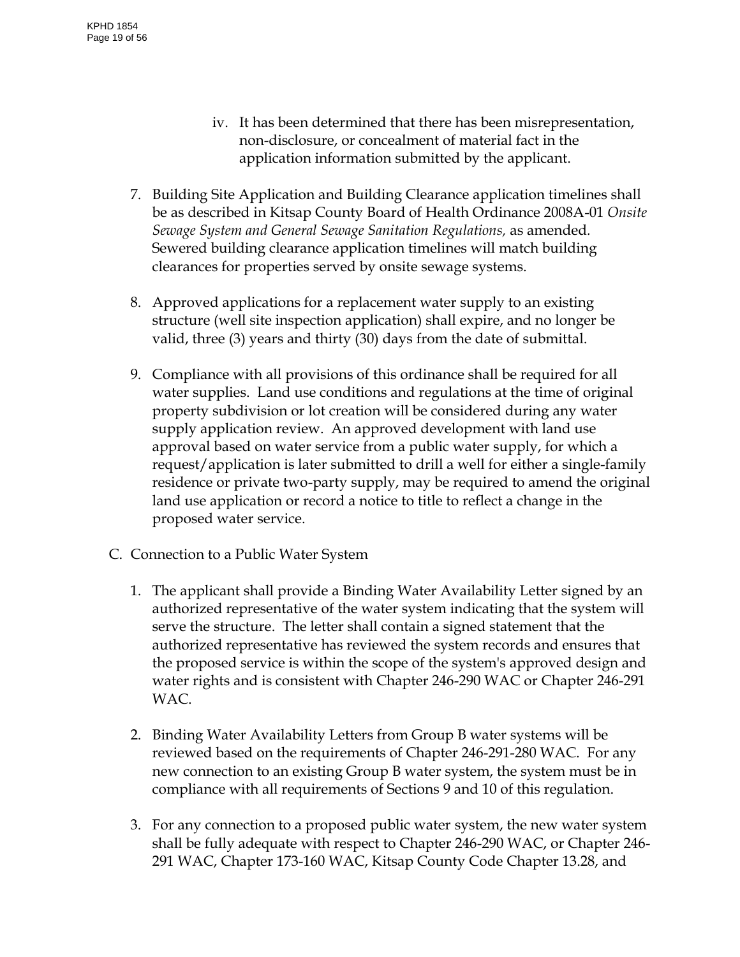- iv. It has been determined that there has been misrepresentation, non-disclosure, or concealment of material fact in the application information submitted by the applicant.
- 7. Building Site Application and Building Clearance application timelines shall be as described in Kitsap County Board of Health Ordinance 2008A-01 *Onsite Sewage System and General Sewage Sanitation Regulations,* as amended*.* Sewered building clearance application timelines will match building clearances for properties served by onsite sewage systems.
- 8. Approved applications for a replacement water supply to an existing structure (well site inspection application) shall expire, and no longer be valid, three (3) years and thirty (30) days from the date of submittal.
- 9. Compliance with all provisions of this ordinance shall be required for all water supplies. Land use conditions and regulations at the time of original property subdivision or lot creation will be considered during any water supply application review. An approved development with land use approval based on water service from a public water supply, for which a request/application is later submitted to drill a well for either a single-family residence or private two-party supply, may be required to amend the original land use application or record a notice to title to reflect a change in the proposed water service.
- C. Connection to a Public Water System
	- 1. The applicant shall provide a Binding Water Availability Letter signed by an authorized representative of the water system indicating that the system will serve the structure. The letter shall contain a signed statement that the authorized representative has reviewed the system records and ensures that the proposed service is within the scope of the system's approved design and water rights and is consistent with Chapter 246-290 WAC or Chapter 246-291 WAC.
	- 2. Binding Water Availability Letters from Group B water systems will be reviewed based on the requirements of Chapter 246-291-280 WAC. For any new connection to an existing Group B water system, the system must be in compliance with all requirements of Sections 9 and 10 of this regulation.
	- 3. For any connection to a proposed public water system, the new water system shall be fully adequate with respect to Chapter 246-290 WAC, or Chapter 246- 291 WAC, Chapter 173-160 WAC, Kitsap County Code Chapter 13.28, and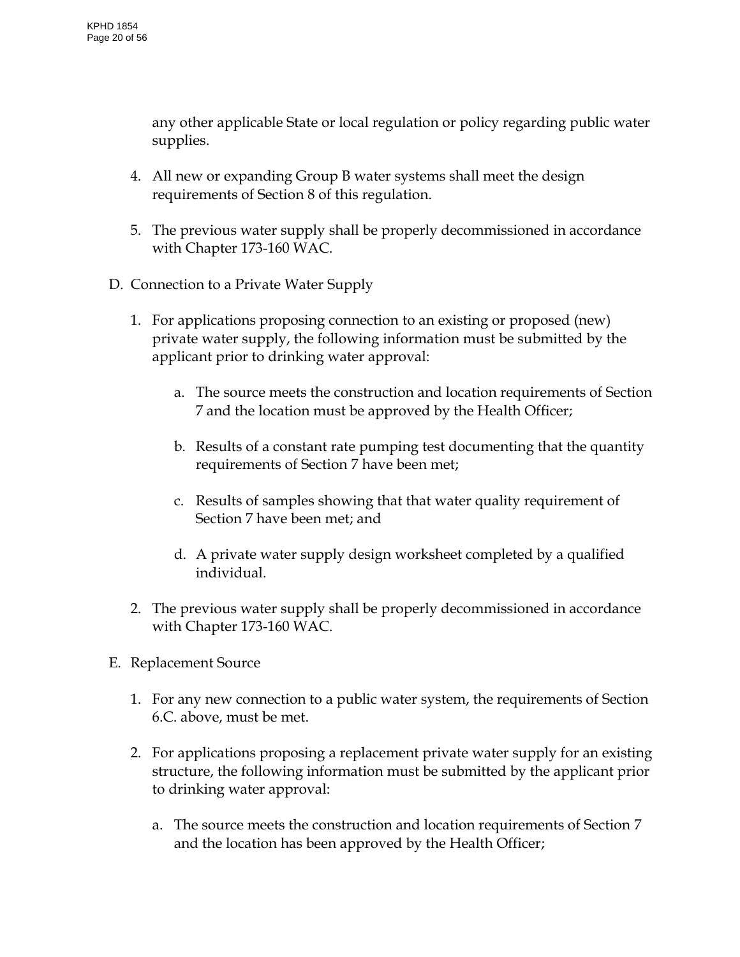any other applicable State or local regulation or policy regarding public water supplies.

- 4. All new or expanding Group B water systems shall meet the design requirements of Section 8 of this regulation.
- 5. The previous water supply shall be properly decommissioned in accordance with Chapter 173-160 WAC.
- D. Connection to a Private Water Supply
	- 1. For applications proposing connection to an existing or proposed (new) private water supply, the following information must be submitted by the applicant prior to drinking water approval:
		- a. The source meets the construction and location requirements of Section 7 and the location must be approved by the Health Officer;
		- b. Results of a constant rate pumping test documenting that the quantity requirements of Section 7 have been met;
		- c. Results of samples showing that that water quality requirement of Section 7 have been met; and
		- d. A private water supply design worksheet completed by a qualified individual.
	- 2. The previous water supply shall be properly decommissioned in accordance with Chapter 173-160 WAC.
- E. Replacement Source
	- 1. For any new connection to a public water system, the requirements of Section 6.C. above, must be met.
	- 2. For applications proposing a replacement private water supply for an existing structure, the following information must be submitted by the applicant prior to drinking water approval:
		- a. The source meets the construction and location requirements of Section 7 and the location has been approved by the Health Officer;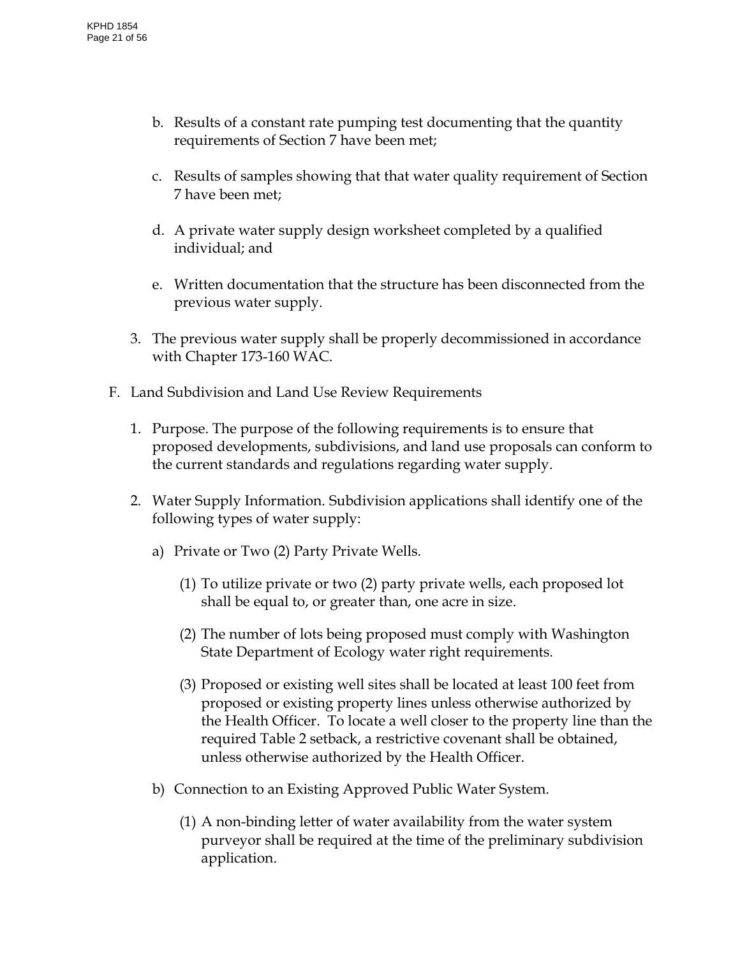- b. Results of a constant rate pumping test documenting that the quantity requirements of Section 7 have been met;
- c. Results of samples showing that that water quality requirement of Section 7 have been met;
- d. A private water supply design worksheet completed by a qualified individual; and
- e. Written documentation that the structure has been disconnected from the previous water supply.
- 3. The previous water supply shall be properly decommissioned in accordance with Chapter 173-160 WAC.
- F. Land Subdivision and Land Use Review Requirements
	- 1. Purpose. The purpose of the following requirements is to ensure that proposed developments, subdivisions, and land use proposals can conform to the current standards and regulations regarding water supply.
	- 2. Water Supply Information. Subdivision applications shall identify one of the following types of water supply:
		- a) Private or Two (2) Party Private Wells.
			- (1) To utilize private or two (2) party private wells, each proposed lot shall be equal to, or greater than, one acre in size.
			- (2) The number of lots being proposed must comply with Washington State Department of Ecology water right requirements.
			- (3) Proposed or existing well sites shall be located at least 100 feet from proposed or existing property lines unless otherwise authorized by the Health Officer. To locate a well closer to the property line than the required Table 2 setback, a restrictive covenant shall be obtained, unless otherwise authorized by the Health Officer.
		- b) Connection to an Existing Approved Public Water System.
			- (1) A non-binding letter of water availability from the water system purveyor shall be required at the time of the preliminary subdivision application.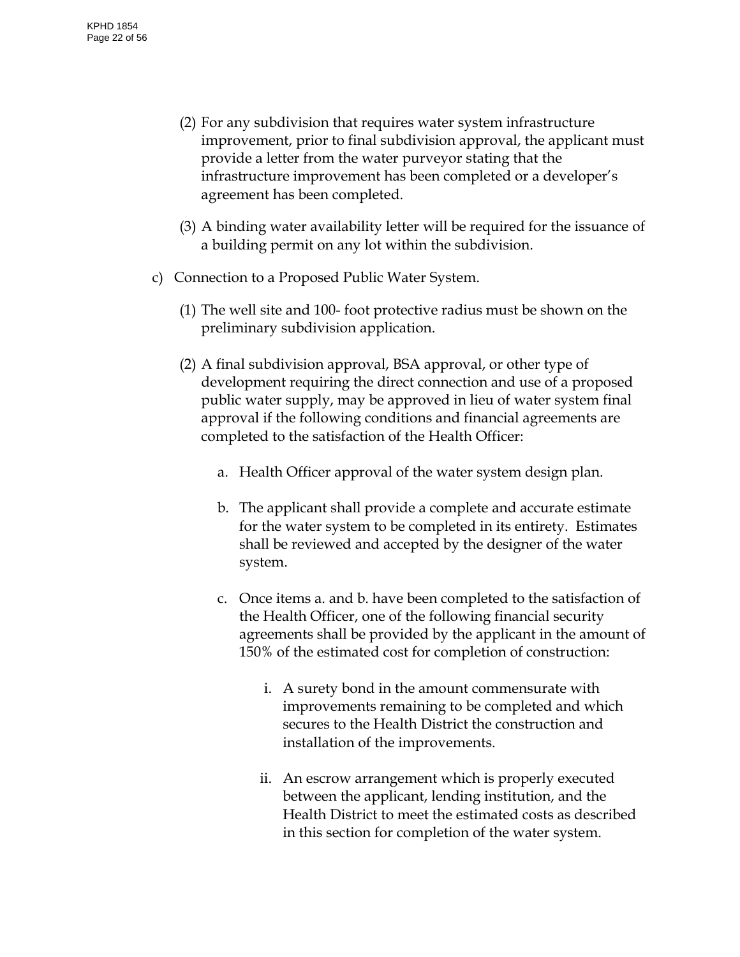- (2) For any subdivision that requires water system infrastructure improvement, prior to final subdivision approval, the applicant must provide a letter from the water purveyor stating that the infrastructure improvement has been completed or a developer's agreement has been completed.
- (3) A binding water availability letter will be required for the issuance of a building permit on any lot within the subdivision.
- c) Connection to a Proposed Public Water System.
	- (1) The well site and 100- foot protective radius must be shown on the preliminary subdivision application.
	- (2) A final subdivision approval, BSA approval, or other type of development requiring the direct connection and use of a proposed public water supply, may be approved in lieu of water system final approval if the following conditions and financial agreements are completed to the satisfaction of the Health Officer:
		- a. Health Officer approval of the water system design plan.
		- b. The applicant shall provide a complete and accurate estimate for the water system to be completed in its entirety. Estimates shall be reviewed and accepted by the designer of the water system.
		- c. Once items a. and b. have been completed to the satisfaction of the Health Officer, one of the following financial security agreements shall be provided by the applicant in the amount of 150% of the estimated cost for completion of construction:
			- i. A surety bond in the amount commensurate with improvements remaining to be completed and which secures to the Health District the construction and installation of the improvements.
			- ii. An escrow arrangement which is properly executed between the applicant, lending institution, and the Health District to meet the estimated costs as described in this section for completion of the water system.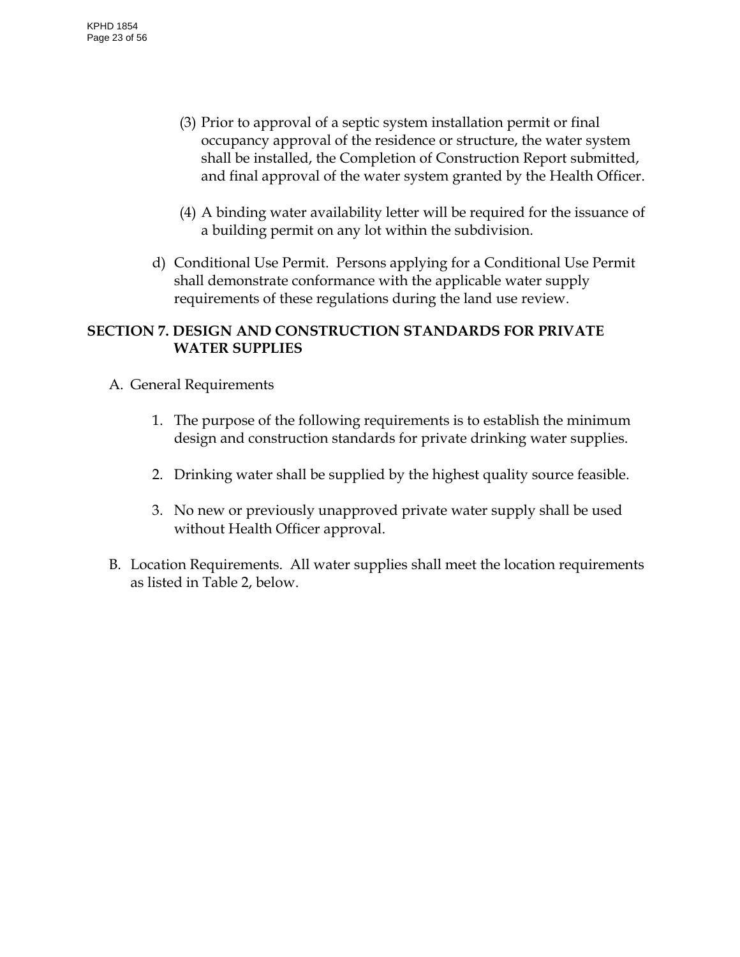- (3) Prior to approval of a septic system installation permit or final occupancy approval of the residence or structure, the water system shall be installed, the Completion of Construction Report submitted, and final approval of the water system granted by the Health Officer.
- (4) A binding water availability letter will be required for the issuance of a building permit on any lot within the subdivision.
- d) Conditional Use Permit. Persons applying for a Conditional Use Permit shall demonstrate conformance with the applicable water supply requirements of these regulations during the land use review.

# <span id="page-22-0"></span>**SECTION 7. DESIGN AND CONSTRUCTION STANDARDS FOR PRIVATE WATER SUPPLIES**

- A. General Requirements
	- 1. The purpose of the following requirements is to establish the minimum design and construction standards for private drinking water supplies.
	- 2. Drinking water shall be supplied by the highest quality source feasible.
	- 3. No new or previously unapproved private water supply shall be used without Health Officer approval.
- B. Location Requirements. All water supplies shall meet the location requirements as listed in Table 2, below.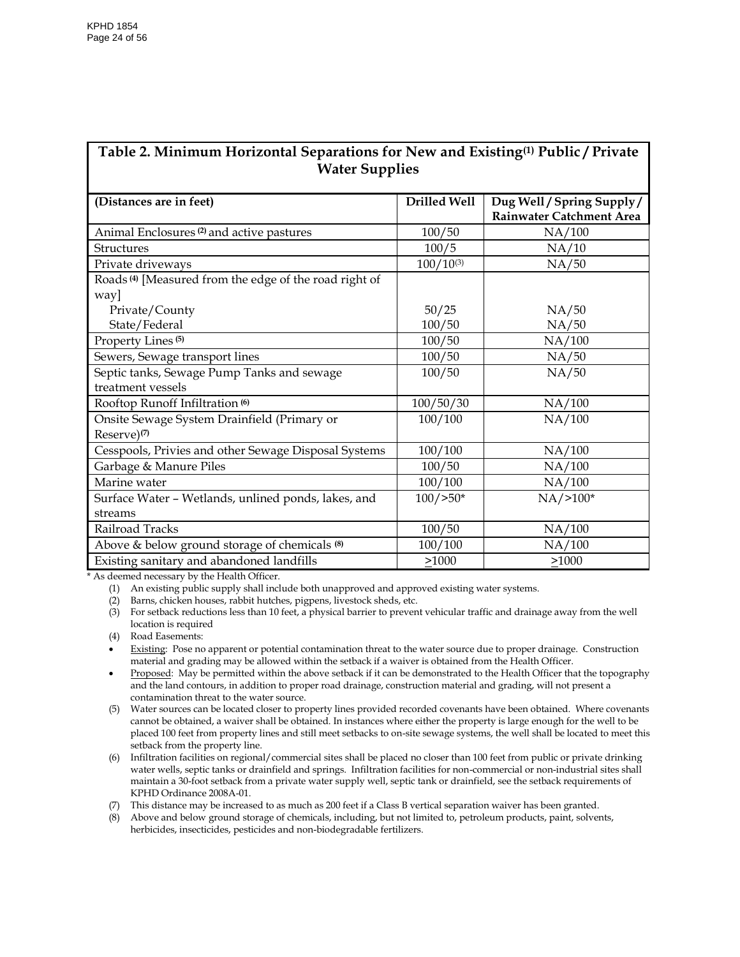#### **Table 2. Minimum Horizontal Separations for New and Existing(1) Public / Private Water Supplies**

| (Distances are in feet)                                           | Drilled Well   | Dug Well / Spring Supply /<br><b>Rainwater Catchment Area</b> |
|-------------------------------------------------------------------|----------------|---------------------------------------------------------------|
| Animal Enclosures <sup>(2)</sup> and active pastures              | 100/50         | NA/100                                                        |
| <b>Structures</b>                                                 | 100/5          | NA/10                                                         |
| Private driveways                                                 | $100/10^{(3)}$ | NA/50                                                         |
| Roads <sup>(4)</sup> [Measured from the edge of the road right of |                |                                                               |
| way]                                                              |                |                                                               |
| Private/County                                                    | 50/25          | NA/50                                                         |
| State/Federal                                                     | 100/50         | NA/50                                                         |
| Property Lines <sup>(5)</sup>                                     | 100/50         | NA/100                                                        |
| Sewers, Sewage transport lines                                    | 100/50         | NA/50                                                         |
| Septic tanks, Sewage Pump Tanks and sewage                        | 100/50         | NA/50                                                         |
| treatment vessels                                                 |                |                                                               |
| Rooftop Runoff Infiltration <sup>(6)</sup>                        | 100/50/30      | NA/100                                                        |
| Onsite Sewage System Drainfield (Primary or                       | 100/100        | NA/100                                                        |
| Reserve) <sup>(7)</sup>                                           |                |                                                               |
| Cesspools, Privies and other Sewage Disposal Systems              | 100/100        | NA/100                                                        |
| Garbage & Manure Piles                                            | 100/50         | NA/100                                                        |
| Marine water                                                      | 100/100        | NA/100                                                        |
| Surface Water - Wetlands, unlined ponds, lakes, and               | $100/$ > 50*   | $NA/>100*$                                                    |
| streams                                                           |                |                                                               |
| Railroad Tracks                                                   | 100/50         | NA/100                                                        |
| Above & below ground storage of chemicals (8)                     | 100/100        | NA/100                                                        |
| Existing sanitary and abandoned landfills                         | >1000          | >1000                                                         |

\* As deemed necessary by the Health Officer.

(1) An existing public supply shall include both unapproved and approved existing water systems.

(2) Barns, chicken houses, rabbit hutches, pigpens, livestock sheds, etc.

(3) For setback reductions less than 10 feet, a physical barrier to prevent vehicular traffic and drainage away from the well location is required

(4) Road Easements:

Existing: Pose no apparent or potential contamination threat to the water source due to proper drainage. Construction material and grading may be allowed within the setback if a waiver is obtained from the Health Officer.

• Proposed: May be permitted within the above setback if it can be demonstrated to the Health Officer that the topography and the land contours, in addition to proper road drainage, construction material and grading, will not present a contamination threat to the water source.

(5) Water sources can be located closer to property lines provided recorded covenants have been obtained. Where covenants cannot be obtained, a waiver shall be obtained. In instances where either the property is large enough for the well to be placed 100 feet from property lines and still meet setbacks to on-site sewage systems, the well shall be located to meet this setback from the property line.

(6) Infiltration facilities on regional/commercial sites shall be placed no closer than 100 feet from public or private drinking water wells, septic tanks or drainfield and springs. Infiltration facilities for non-commercial or non-industrial sites shall maintain a 30-foot setback from a private water supply well, septic tank or drainfield, see the setback requirements of KPHD Ordinance 2008A-01.

(7) This distance may be increased to as much as 200 feet if a Class B vertical separation waiver has been granted.

(8) Above and below ground storage of chemicals, including, but not limited to, petroleum products, paint, solvents, herbicides, insecticides, pesticides and non-biodegradable fertilizers.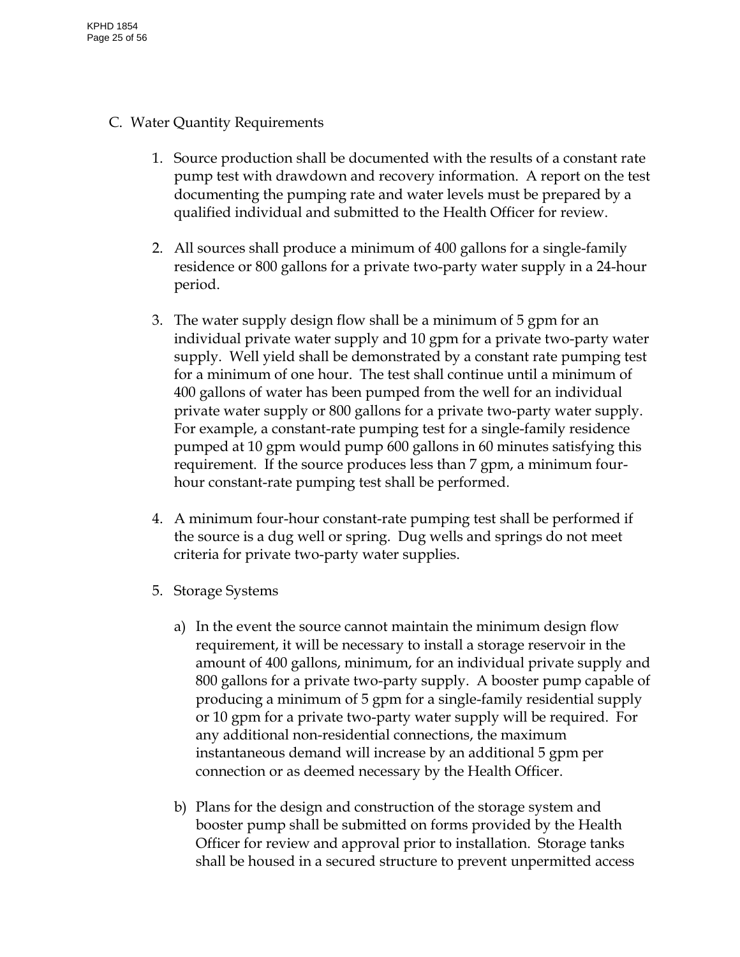- C. Water Quantity Requirements
	- 1. Source production shall be documented with the results of a constant rate pump test with drawdown and recovery information. A report on the test documenting the pumping rate and water levels must be prepared by a qualified individual and submitted to the Health Officer for review.
	- 2. All sources shall produce a minimum of 400 gallons for a single-family residence or 800 gallons for a private two-party water supply in a 24-hour period.
	- 3. The water supply design flow shall be a minimum of 5 gpm for an individual private water supply and 10 gpm for a private two-party water supply. Well yield shall be demonstrated by a constant rate pumping test for a minimum of one hour. The test shall continue until a minimum of 400 gallons of water has been pumped from the well for an individual private water supply or 800 gallons for a private two-party water supply. For example, a constant-rate pumping test for a single-family residence pumped at 10 gpm would pump 600 gallons in 60 minutes satisfying this requirement. If the source produces less than 7 gpm, a minimum fourhour constant-rate pumping test shall be performed.
	- 4. A minimum four-hour constant-rate pumping test shall be performed if the source is a dug well or spring. Dug wells and springs do not meet criteria for private two-party water supplies.
	- 5. Storage Systems
		- a) In the event the source cannot maintain the minimum design flow requirement, it will be necessary to install a storage reservoir in the amount of 400 gallons, minimum, for an individual private supply and 800 gallons for a private two-party supply. A booster pump capable of producing a minimum of 5 gpm for a single-family residential supply or 10 gpm for a private two-party water supply will be required. For any additional non-residential connections, the maximum instantaneous demand will increase by an additional 5 gpm per connection or as deemed necessary by the Health Officer.
		- b) Plans for the design and construction of the storage system and booster pump shall be submitted on forms provided by the Health Officer for review and approval prior to installation. Storage tanks shall be housed in a secured structure to prevent unpermitted access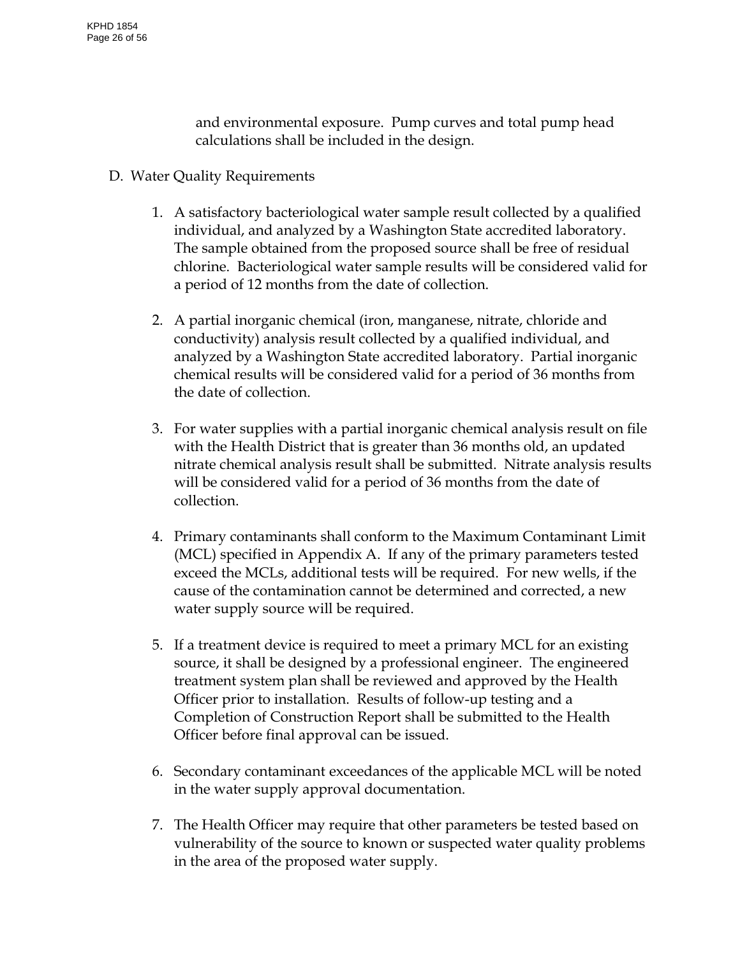and environmental exposure. Pump curves and total pump head calculations shall be included in the design.

- D. Water Quality Requirements
	- 1. A satisfactory bacteriological water sample result collected by a qualified individual, and analyzed by a Washington State accredited laboratory. The sample obtained from the proposed source shall be free of residual chlorine. Bacteriological water sample results will be considered valid for a period of 12 months from the date of collection.
	- 2. A partial inorganic chemical (iron, manganese, nitrate, chloride and conductivity) analysis result collected by a qualified individual, and analyzed by a Washington State accredited laboratory. Partial inorganic chemical results will be considered valid for a period of 36 months from the date of collection.
	- 3. For water supplies with a partial inorganic chemical analysis result on file with the Health District that is greater than 36 months old, an updated nitrate chemical analysis result shall be submitted. Nitrate analysis results will be considered valid for a period of 36 months from the date of collection.
	- 4. Primary contaminants shall conform to the Maximum Contaminant Limit (MCL) specified in Appendix A. If any of the primary parameters tested exceed the MCLs, additional tests will be required. For new wells, if the cause of the contamination cannot be determined and corrected, a new water supply source will be required.
	- 5. If a treatment device is required to meet a primary MCL for an existing source, it shall be designed by a professional engineer. The engineered treatment system plan shall be reviewed and approved by the Health Officer prior to installation. Results of follow-up testing and a Completion of Construction Report shall be submitted to the Health Officer before final approval can be issued.
	- 6. Secondary contaminant exceedances of the applicable MCL will be noted in the water supply approval documentation.
	- 7. The Health Officer may require that other parameters be tested based on vulnerability of the source to known or suspected water quality problems in the area of the proposed water supply.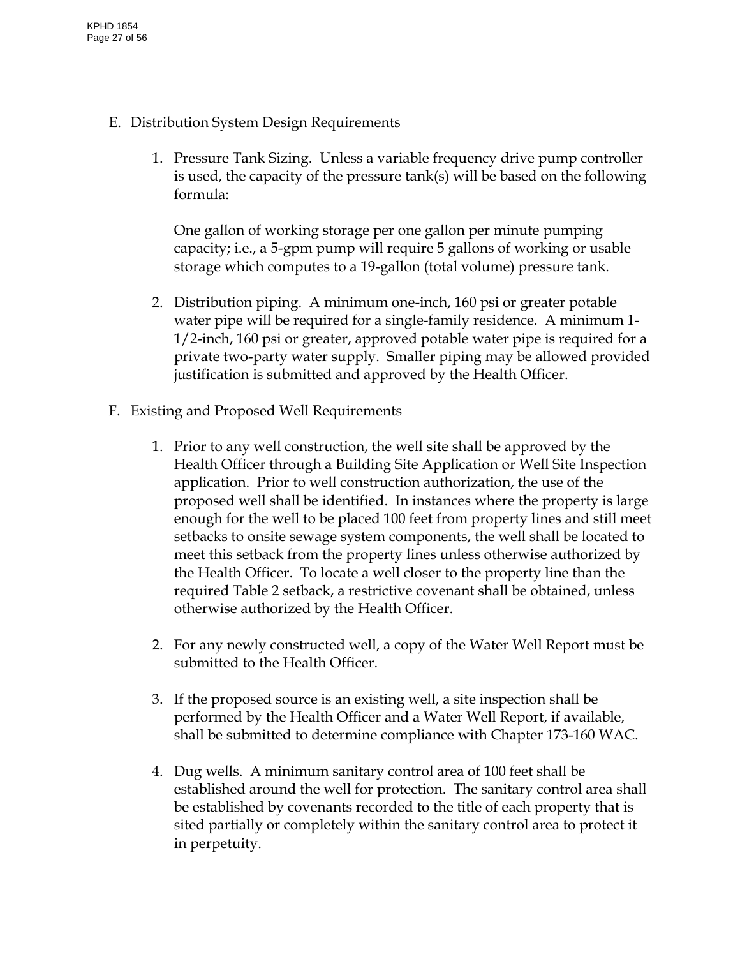- E. Distribution System Design Requirements
	- 1. Pressure Tank Sizing. Unless a variable frequency drive pump controller is used, the capacity of the pressure tank(s) will be based on the following formula:

One gallon of working storage per one gallon per minute pumping capacity; i.e., a 5-gpm pump will require 5 gallons of working or usable storage which computes to a 19-gallon (total volume) pressure tank.

- 2. Distribution piping. A minimum one-inch, 160 psi or greater potable water pipe will be required for a single-family residence. A minimum 1- 1/2-inch, 160 psi or greater, approved potable water pipe is required for a private two-party water supply. Smaller piping may be allowed provided justification is submitted and approved by the Health Officer.
- F. Existing and Proposed Well Requirements
	- 1. Prior to any well construction, the well site shall be approved by the Health Officer through a Building Site Application or Well Site Inspection application. Prior to well construction authorization, the use of the proposed well shall be identified. In instances where the property is large enough for the well to be placed 100 feet from property lines and still meet setbacks to onsite sewage system components, the well shall be located to meet this setback from the property lines unless otherwise authorized by the Health Officer. To locate a well closer to the property line than the required Table 2 setback, a restrictive covenant shall be obtained, unless otherwise authorized by the Health Officer.
	- 2. For any newly constructed well, a copy of the Water Well Report must be submitted to the Health Officer.
	- 3. If the proposed source is an existing well, a site inspection shall be performed by the Health Officer and a Water Well Report, if available, shall be submitted to determine compliance with Chapter 173-160 WAC.
	- 4. Dug wells. A minimum sanitary control area of 100 feet shall be established around the well for protection. The sanitary control area shall be established by covenants recorded to the title of each property that is sited partially or completely within the sanitary control area to protect it in perpetuity.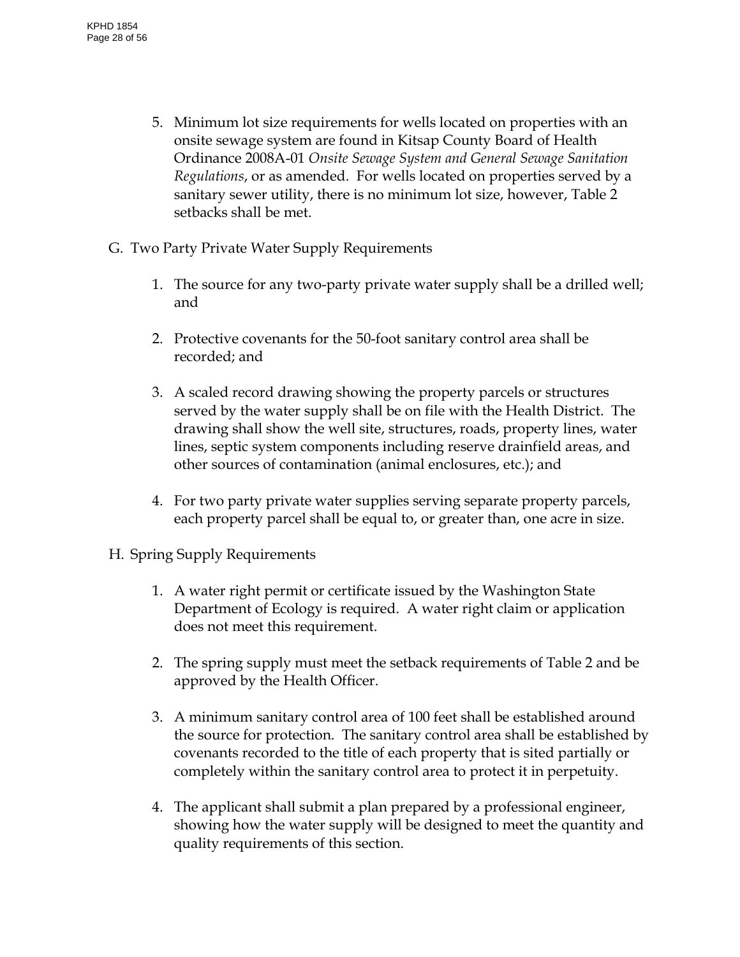- 5. Minimum lot size requirements for wells located on properties with an onsite sewage system are found in Kitsap County Board of Health Ordinance 2008A-01 *Onsite Sewage System and General Sewage Sanitation Regulations*, or as amended. For wells located on properties served by a sanitary sewer utility, there is no minimum lot size, however, Table 2 setbacks shall be met.
- G. Two Party Private Water Supply Requirements
	- 1. The source for any two-party private water supply shall be a drilled well; and
	- 2. Protective covenants for the 50-foot sanitary control area shall be recorded; and
	- 3. A scaled record drawing showing the property parcels or structures served by the water supply shall be on file with the Health District. The drawing shall show the well site, structures, roads, property lines, water lines, septic system components including reserve drainfield areas, and other sources of contamination (animal enclosures, etc.); and
	- 4. For two party private water supplies serving separate property parcels, each property parcel shall be equal to, or greater than, one acre in size.
- H. Spring Supply Requirements
	- 1. A water right permit or certificate issued by the Washington State Department of Ecology is required. A water right claim or application does not meet this requirement.
	- 2. The spring supply must meet the setback requirements of Table 2 and be approved by the Health Officer.
	- 3. A minimum sanitary control area of 100 feet shall be established around the source for protection. The sanitary control area shall be established by covenants recorded to the title of each property that is sited partially or completely within the sanitary control area to protect it in perpetuity.
	- 4. The applicant shall submit a plan prepared by a professional engineer, showing how the water supply will be designed to meet the quantity and quality requirements of this section.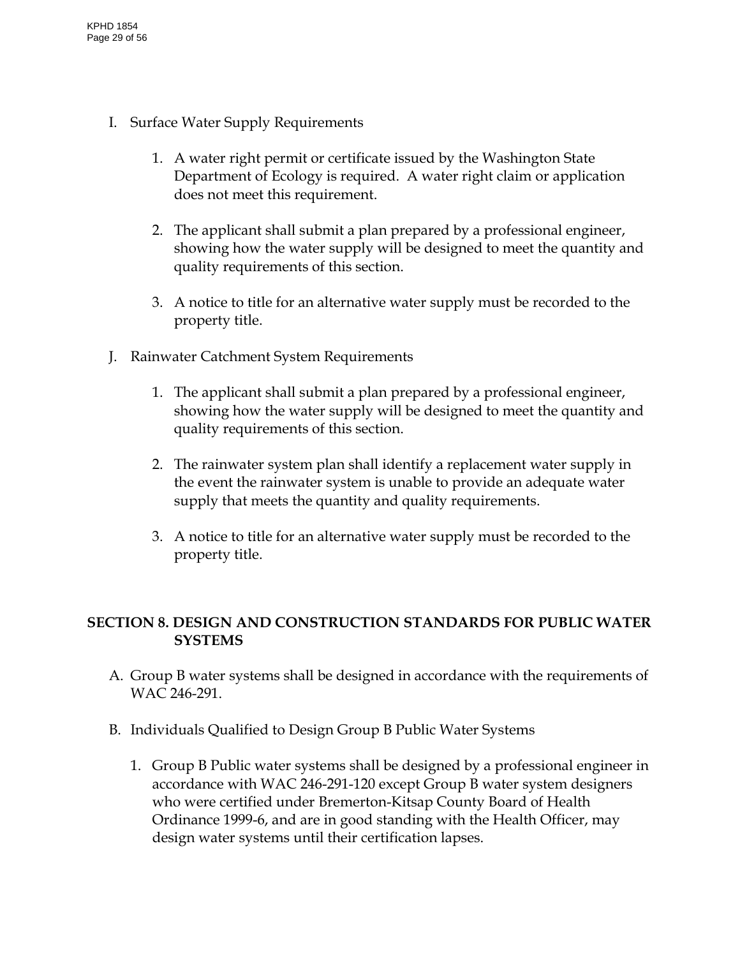- I. Surface Water Supply Requirements
	- 1. A water right permit or certificate issued by the Washington State Department of Ecology is required. A water right claim or application does not meet this requirement.
	- 2. The applicant shall submit a plan prepared by a professional engineer, showing how the water supply will be designed to meet the quantity and quality requirements of this section.
	- 3. A notice to title for an alternative water supply must be recorded to the property title.
- J. Rainwater Catchment System Requirements
	- 1. The applicant shall submit a plan prepared by a professional engineer, showing how the water supply will be designed to meet the quantity and quality requirements of this section.
	- 2. The rainwater system plan shall identify a replacement water supply in the event the rainwater system is unable to provide an adequate water supply that meets the quantity and quality requirements.
	- 3. A notice to title for an alternative water supply must be recorded to the property title.

# <span id="page-28-0"></span>**SECTION 8. DESIGN AND CONSTRUCTION STANDARDS FOR PUBLIC WATER SYSTEMS**

- A. Group B water systems shall be designed in accordance with the requirements of WAC 246-291.
- B. Individuals Qualified to Design Group B Public Water Systems
	- 1. Group B Public water systems shall be designed by a professional engineer in accordance with WAC 246-291-120 except Group B water system designers who were certified under Bremerton-Kitsap County Board of Health Ordinance 1999-6, and are in good standing with the Health Officer, may design water systems until their certification lapses.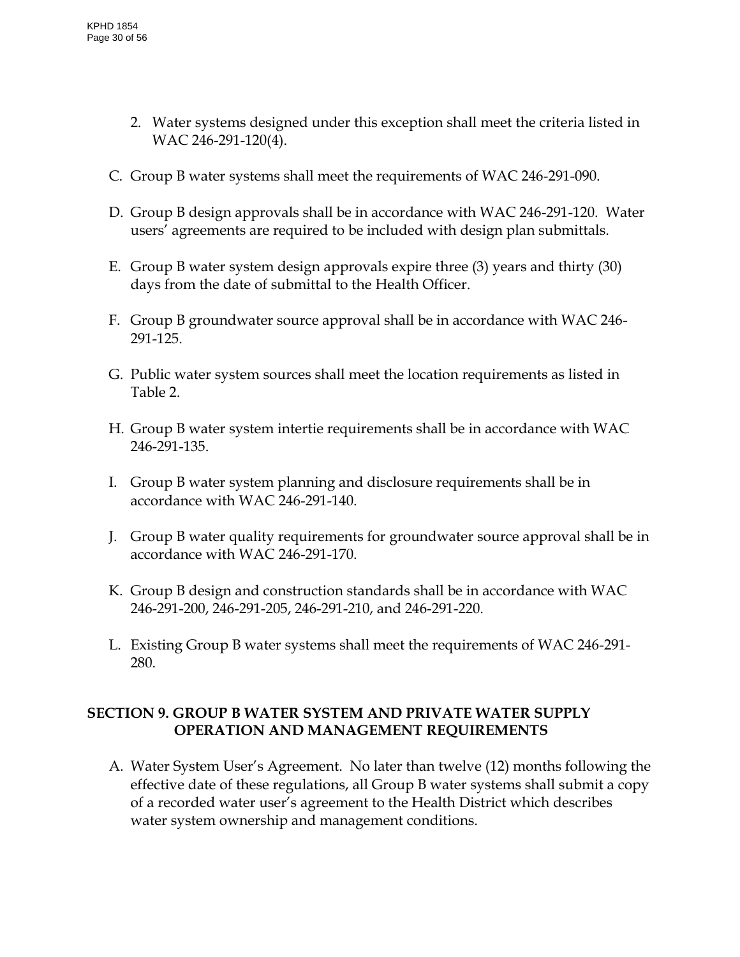- 2. Water systems designed under this exception shall meet the criteria listed in WAC 246-291-120(4).
- C. Group B water systems shall meet the requirements of WAC 246-291-090.
- D. Group B design approvals shall be in accordance with WAC 246-291-120. Water users' agreements are required to be included with design plan submittals.
- E. Group B water system design approvals expire three (3) years and thirty (30) days from the date of submittal to the Health Officer.
- F. Group B groundwater source approval shall be in accordance with WAC 246- 291-125.
- G. Public water system sources shall meet the location requirements as listed in Table 2.
- H. Group B water system intertie requirements shall be in accordance with WAC 246-291-135.
- I. Group B water system planning and disclosure requirements shall be in accordance with WAC 246-291-140.
- J. Group B water quality requirements for groundwater source approval shall be in accordance with WAC 246-291-170.
- K. Group B design and construction standards shall be in accordance with WAC 246-291-200, 246-291-205, 246-291-210, and 246-291-220.
- L. Existing Group B water systems shall meet the requirements of WAC 246-291- 280.

# <span id="page-29-0"></span>**SECTION 9. GROUP B WATER SYSTEM AND PRIVATE WATER SUPPLY OPERATION AND MANAGEMENT REQUIREMENTS**

A. Water System User's Agreement. No later than twelve (12) months following the effective date of these regulations, all Group B water systems shall submit a copy of a recorded water user's agreement to the Health District which describes water system ownership and management conditions.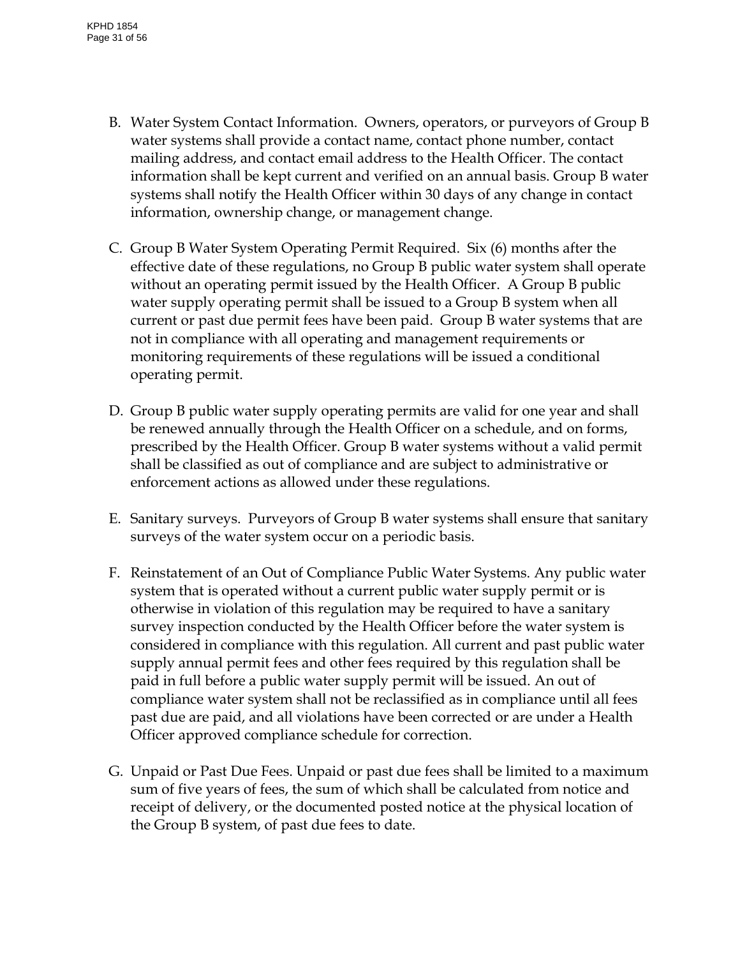- B. Water System Contact Information. Owners, operators, or purveyors of Group B water systems shall provide a contact name, contact phone number, contact mailing address, and contact email address to the Health Officer. The contact information shall be kept current and verified on an annual basis. Group B water systems shall notify the Health Officer within 30 days of any change in contact information, ownership change, or management change.
- C. Group B Water System Operating Permit Required. Six (6) months after the effective date of these regulations, no Group B public water system shall operate without an operating permit issued by the Health Officer. A Group B public water supply operating permit shall be issued to a Group B system when all current or past due permit fees have been paid. Group B water systems that are not in compliance with all operating and management requirements or monitoring requirements of these regulations will be issued a conditional operating permit.
- D. Group B public water supply operating permits are valid for one year and shall be renewed annually through the Health Officer on a schedule, and on forms, prescribed by the Health Officer. Group B water systems without a valid permit shall be classified as out of compliance and are subject to administrative or enforcement actions as allowed under these regulations.
- E. Sanitary surveys. Purveyors of Group B water systems shall ensure that sanitary surveys of the water system occur on a periodic basis.
- F. Reinstatement of an Out of Compliance Public Water Systems. Any public water system that is operated without a current public water supply permit or is otherwise in violation of this regulation may be required to have a sanitary survey inspection conducted by the Health Officer before the water system is considered in compliance with this regulation. All current and past public water supply annual permit fees and other fees required by this regulation shall be paid in full before a public water supply permit will be issued. An out of compliance water system shall not be reclassified as in compliance until all fees past due are paid, and all violations have been corrected or are under a Health Officer approved compliance schedule for correction.
- G. Unpaid or Past Due Fees. Unpaid or past due fees shall be limited to a maximum sum of five years of fees, the sum of which shall be calculated from notice and receipt of delivery, or the documented posted notice at the physical location of the Group B system, of past due fees to date.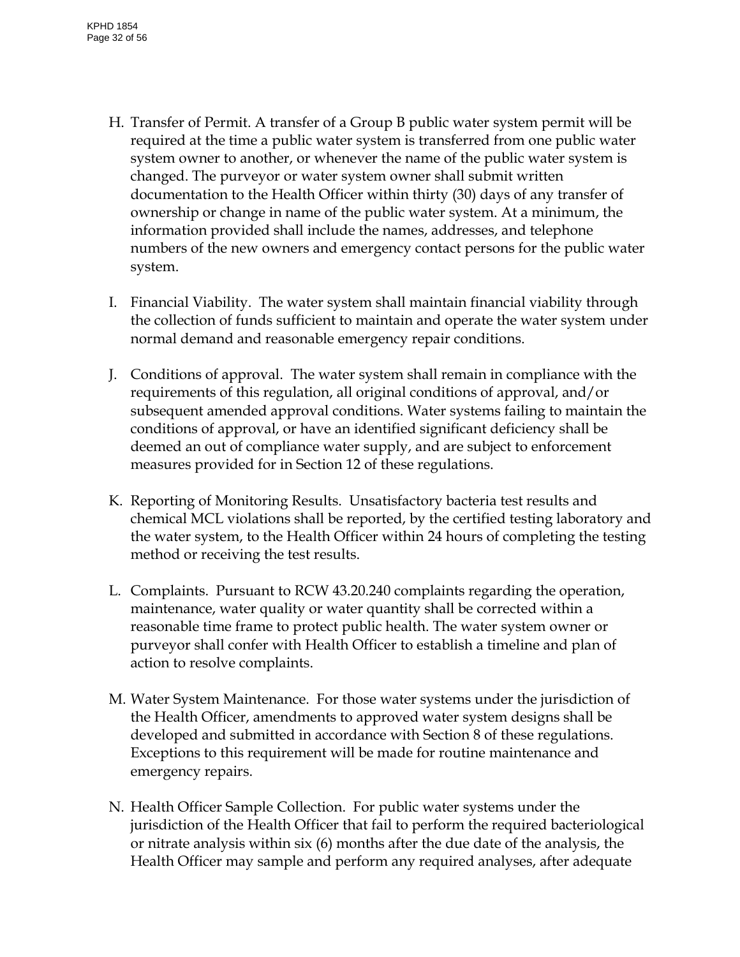- H. Transfer of Permit. A transfer of a Group B public water system permit will be required at the time a public water system is transferred from one public water system owner to another, or whenever the name of the public water system is changed. The purveyor or water system owner shall submit written documentation to the Health Officer within thirty (30) days of any transfer of ownership or change in name of the public water system. At a minimum, the information provided shall include the names, addresses, and telephone numbers of the new owners and emergency contact persons for the public water system.
- I. Financial Viability. The water system shall maintain financial viability through the collection of funds sufficient to maintain and operate the water system under normal demand and reasonable emergency repair conditions.
- J. Conditions of approval. The water system shall remain in compliance with the requirements of this regulation, all original conditions of approval, and/or subsequent amended approval conditions. Water systems failing to maintain the conditions of approval, or have an identified significant deficiency shall be deemed an out of compliance water supply, and are subject to enforcement measures provided for in Section 12 of these regulations.
- K. Reporting of Monitoring Results. Unsatisfactory bacteria test results and chemical MCL violations shall be reported, by the certified testing laboratory and the water system, to the Health Officer within 24 hours of completing the testing method or receiving the test results.
- L. Complaints. Pursuant to RCW 43.20.240 complaints regarding the operation, maintenance, water quality or water quantity shall be corrected within a reasonable time frame to protect public health. The water system owner or purveyor shall confer with Health Officer to establish a timeline and plan of action to resolve complaints.
- M. Water System Maintenance. For those water systems under the jurisdiction of the Health Officer, amendments to approved water system designs shall be developed and submitted in accordance with Section 8 of these regulations. Exceptions to this requirement will be made for routine maintenance and emergency repairs.
- N. Health Officer Sample Collection. For public water systems under the jurisdiction of the Health Officer that fail to perform the required bacteriological or nitrate analysis within six (6) months after the due date of the analysis, the Health Officer may sample and perform any required analyses, after adequate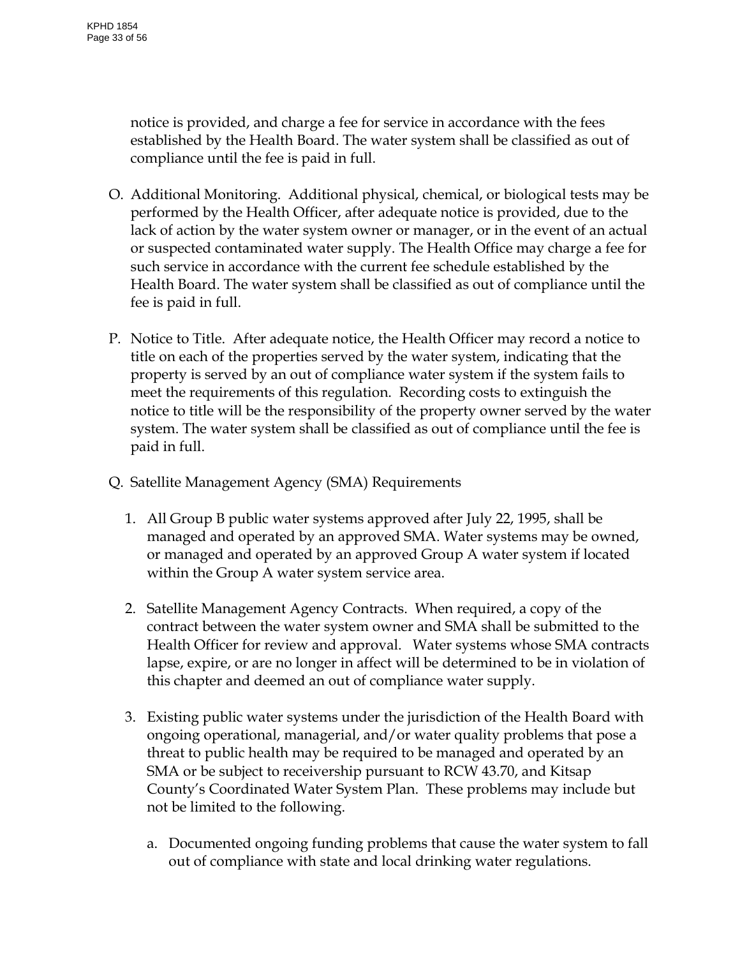notice is provided, and charge a fee for service in accordance with the fees established by the Health Board. The water system shall be classified as out of compliance until the fee is paid in full.

- O. Additional Monitoring. Additional physical, chemical, or biological tests may be performed by the Health Officer, after adequate notice is provided, due to the lack of action by the water system owner or manager, or in the event of an actual or suspected contaminated water supply. The Health Office may charge a fee for such service in accordance with the current fee schedule established by the Health Board. The water system shall be classified as out of compliance until the fee is paid in full.
- P. Notice to Title. After adequate notice, the Health Officer may record a notice to title on each of the properties served by the water system, indicating that the property is served by an out of compliance water system if the system fails to meet the requirements of this regulation. Recording costs to extinguish the notice to title will be the responsibility of the property owner served by the water system. The water system shall be classified as out of compliance until the fee is paid in full.
- Q. Satellite Management Agency (SMA) Requirements
	- 1. All Group B public water systems approved after July 22, 1995, shall be managed and operated by an approved SMA. Water systems may be owned, or managed and operated by an approved Group A water system if located within the Group A water system service area.
	- 2. Satellite Management Agency Contracts. When required, a copy of the contract between the water system owner and SMA shall be submitted to the Health Officer for review and approval. Water systems whose SMA contracts lapse, expire, or are no longer in affect will be determined to be in violation of this chapter and deemed an out of compliance water supply.
	- 3. Existing public water systems under the jurisdiction of the Health Board with ongoing operational, managerial, and/or water quality problems that pose a threat to public health may be required to be managed and operated by an SMA or be subject to receivership pursuant to RCW 43.70, and Kitsap County's Coordinated Water System Plan. These problems may include but not be limited to the following.
		- a. Documented ongoing funding problems that cause the water system to fall out of compliance with state and local drinking water regulations.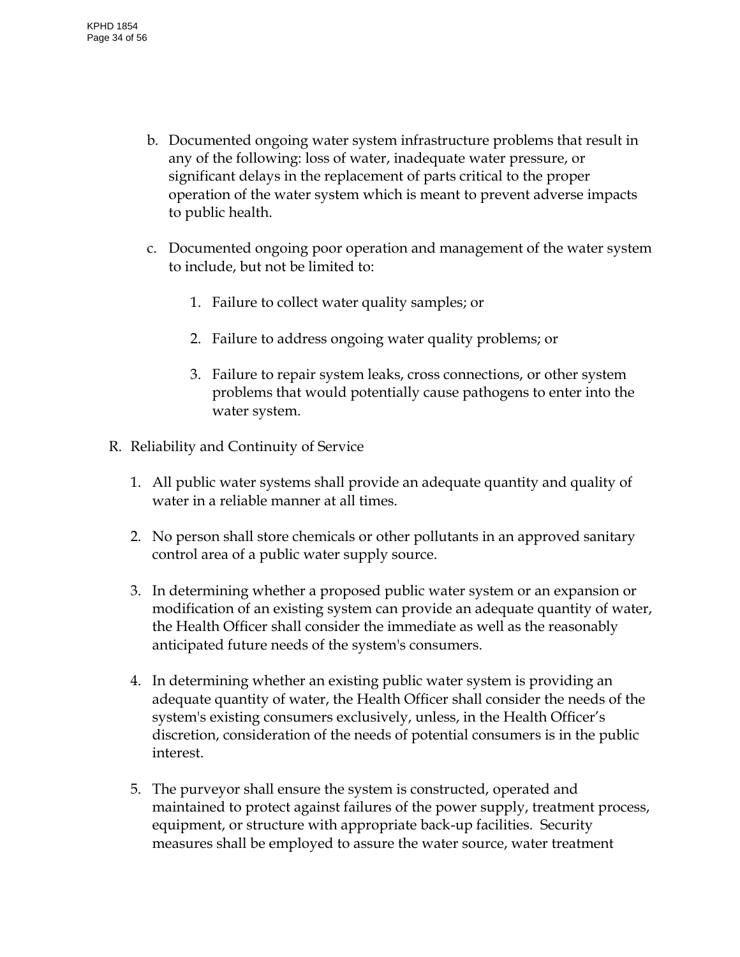- b. Documented ongoing water system infrastructure problems that result in any of the following: loss of water, inadequate water pressure, or significant delays in the replacement of parts critical to the proper operation of the water system which is meant to prevent adverse impacts to public health.
- c. Documented ongoing poor operation and management of the water system to include, but not be limited to:
	- 1. Failure to collect water quality samples; or
	- 2. Failure to address ongoing water quality problems; or
	- 3. Failure to repair system leaks, cross connections, or other system problems that would potentially cause pathogens to enter into the water system.
- R. Reliability and Continuity of Service
	- 1. All public water systems shall provide an adequate quantity and quality of water in a reliable manner at all times.
	- 2. No person shall store chemicals or other pollutants in an approved sanitary control area of a public water supply source.
	- 3. In determining whether a proposed public water system or an expansion or modification of an existing system can provide an adequate quantity of water, the Health Officer shall consider the immediate as well as the reasonably anticipated future needs of the system's consumers.
	- 4. In determining whether an existing public water system is providing an adequate quantity of water, the Health Officer shall consider the needs of the system's existing consumers exclusively, unless, in the Health Officer's discretion, consideration of the needs of potential consumers is in the public interest.
	- 5. The purveyor shall ensure the system is constructed, operated and maintained to protect against failures of the power supply, treatment process, equipment, or structure with appropriate back-up facilities. Security measures shall be employed to assure the water source, water treatment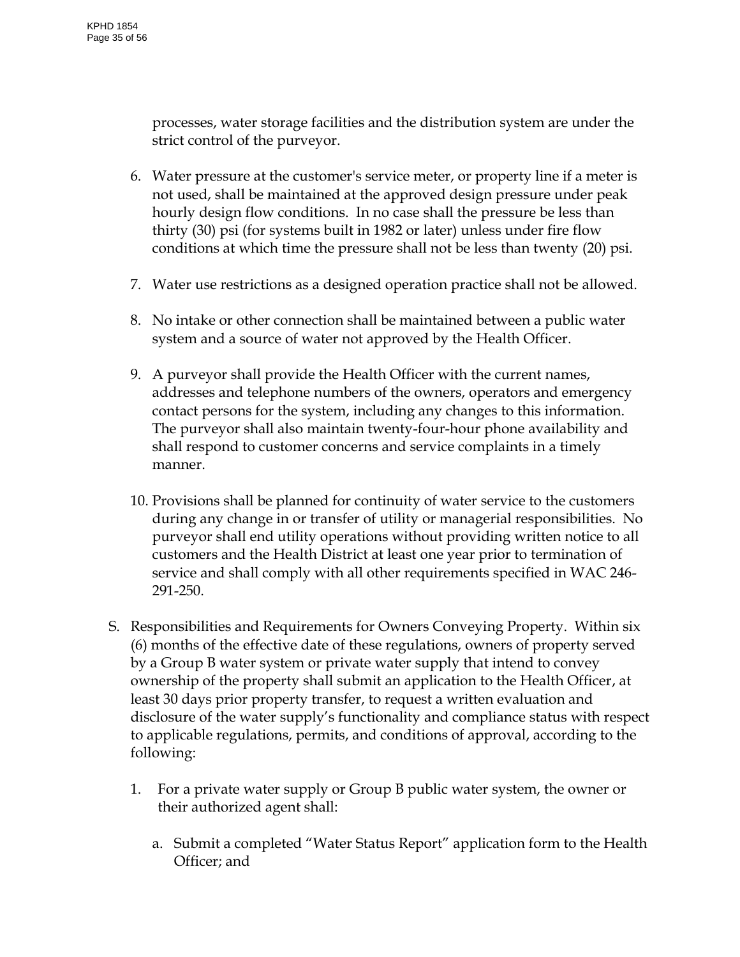processes, water storage facilities and the distribution system are under the strict control of the purveyor.

- 6. Water pressure at the customer's service meter, or property line if a meter is not used, shall be maintained at the approved design pressure under peak hourly design flow conditions. In no case shall the pressure be less than thirty (30) psi (for systems built in 1982 or later) unless under fire flow conditions at which time the pressure shall not be less than twenty (20) psi.
- 7. Water use restrictions as a designed operation practice shall not be allowed.
- 8. No intake or other connection shall be maintained between a public water system and a source of water not approved by the Health Officer.
- 9. A purveyor shall provide the Health Officer with the current names, addresses and telephone numbers of the owners, operators and emergency contact persons for the system, including any changes to this information. The purveyor shall also maintain twenty-four-hour phone availability and shall respond to customer concerns and service complaints in a timely manner.
- 10. Provisions shall be planned for continuity of water service to the customers during any change in or transfer of utility or managerial responsibilities. No purveyor shall end utility operations without providing written notice to all customers and the Health District at least one year prior to termination of service and shall comply with all other requirements specified in WAC 246- 291-250.
- S. Responsibilities and Requirements for Owners Conveying Property. Within six (6) months of the effective date of these regulations, owners of property served by a Group B water system or private water supply that intend to convey ownership of the property shall submit an application to the Health Officer, at least 30 days prior property transfer, to request a written evaluation and disclosure of the water supply's functionality and compliance status with respect to applicable regulations, permits, and conditions of approval, according to the following:
	- 1. For a private water supply or Group B public water system, the owner or their authorized agent shall:
		- a. Submit a completed "Water Status Report" application form to the Health Officer; and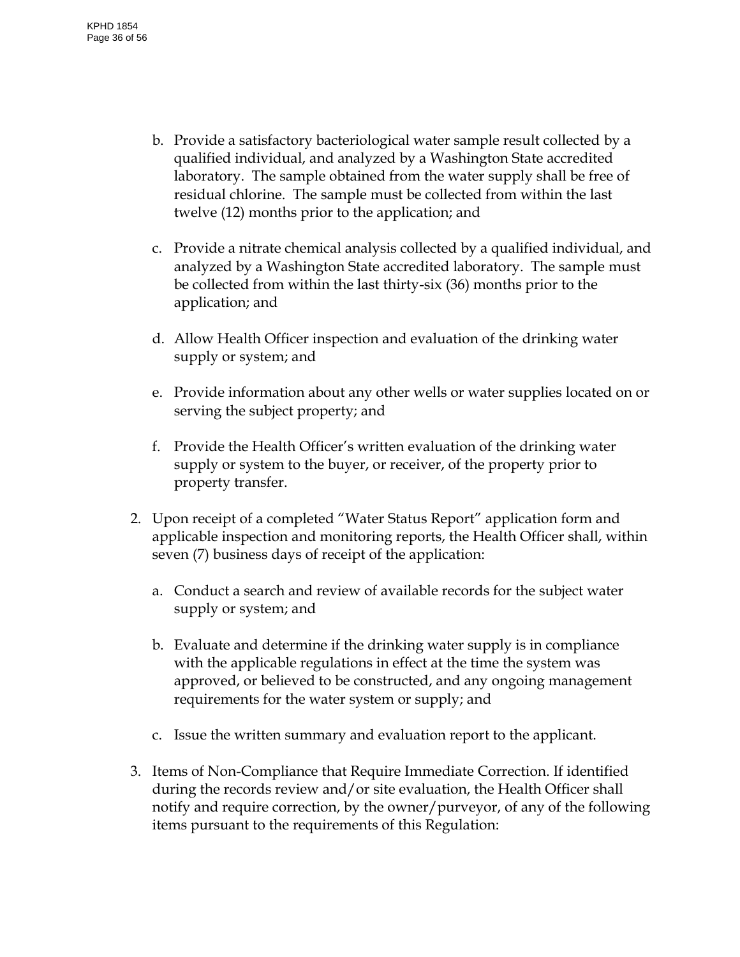- b. Provide a satisfactory bacteriological water sample result collected by a qualified individual, and analyzed by a Washington State accredited laboratory. The sample obtained from the water supply shall be free of residual chlorine. The sample must be collected from within the last twelve (12) months prior to the application; and
- c. Provide a nitrate chemical analysis collected by a qualified individual, and analyzed by a Washington State accredited laboratory. The sample must be collected from within the last thirty-six (36) months prior to the application; and
- d. Allow Health Officer inspection and evaluation of the drinking water supply or system; and
- e. Provide information about any other wells or water supplies located on or serving the subject property; and
- f. Provide the Health Officer's written evaluation of the drinking water supply or system to the buyer, or receiver, of the property prior to property transfer.
- 2. Upon receipt of a completed "Water Status Report" application form and applicable inspection and monitoring reports, the Health Officer shall, within seven (7) business days of receipt of the application:
	- a. Conduct a search and review of available records for the subject water supply or system; and
	- b. Evaluate and determine if the drinking water supply is in compliance with the applicable regulations in effect at the time the system was approved, or believed to be constructed, and any ongoing management requirements for the water system or supply; and
	- c. Issue the written summary and evaluation report to the applicant.
- 3. Items of Non-Compliance that Require Immediate Correction. If identified during the records review and/or site evaluation, the Health Officer shall notify and require correction, by the owner/purveyor, of any of the following items pursuant to the requirements of this Regulation: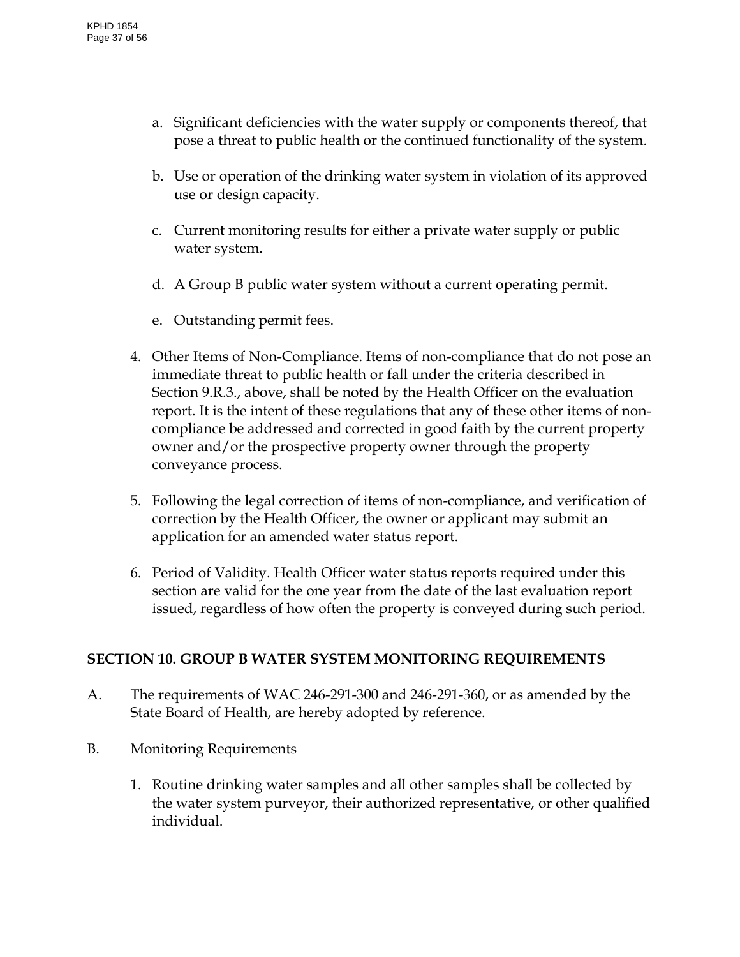- a. Significant deficiencies with the water supply or components thereof, that pose a threat to public health or the continued functionality of the system.
- b. Use or operation of the drinking water system in violation of its approved use or design capacity.
- c. Current monitoring results for either a private water supply or public water system.
- d. A Group B public water system without a current operating permit.
- e. Outstanding permit fees.
- 4. Other Items of Non-Compliance. Items of non-compliance that do not pose an immediate threat to public health or fall under the criteria described in Section 9.R.3., above, shall be noted by the Health Officer on the evaluation report. It is the intent of these regulations that any of these other items of noncompliance be addressed and corrected in good faith by the current property owner and/or the prospective property owner through the property conveyance process.
- 5. Following the legal correction of items of non-compliance, and verification of correction by the Health Officer, the owner or applicant may submit an application for an amended water status report.
- 6. Period of Validity. Health Officer water status reports required under this section are valid for the one year from the date of the last evaluation report issued, regardless of how often the property is conveyed during such period.

# <span id="page-36-0"></span>**SECTION 10. GROUP B WATER SYSTEM MONITORING REQUIREMENTS**

- A. The requirements of WAC 246-291-300 and 246-291-360, or as amended by the State Board of Health, are hereby adopted by reference.
- B. Monitoring Requirements
	- 1. Routine drinking water samples and all other samples shall be collected by the water system purveyor, their authorized representative, or other qualified individual.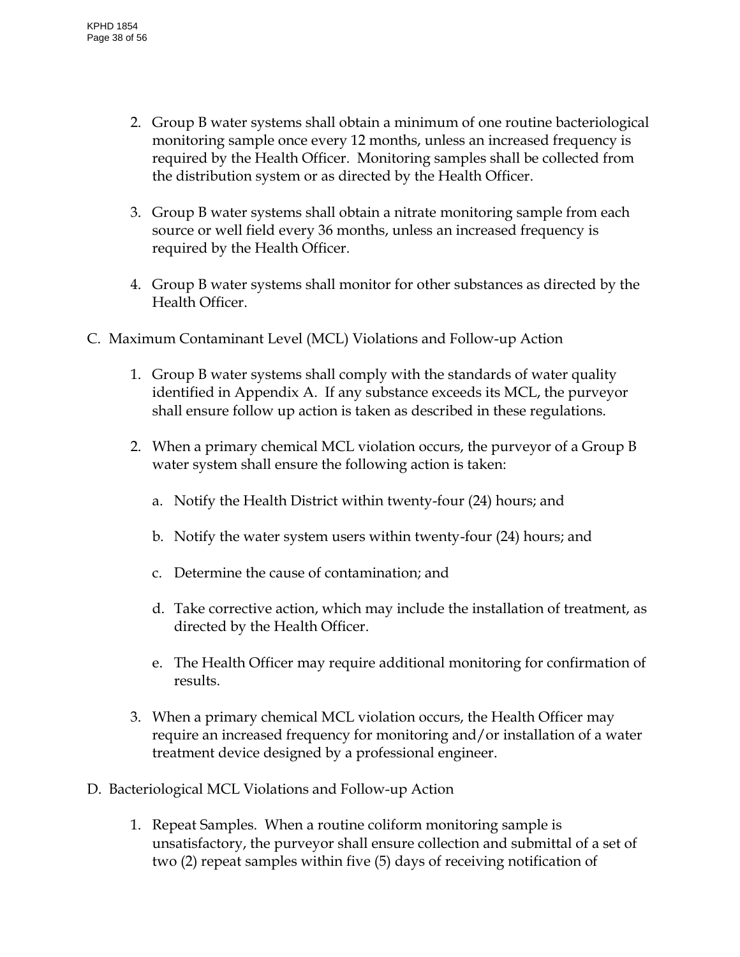- 2. Group B water systems shall obtain a minimum of one routine bacteriological monitoring sample once every 12 months, unless an increased frequency is required by the Health Officer. Monitoring samples shall be collected from the distribution system or as directed by the Health Officer.
- 3. Group B water systems shall obtain a nitrate monitoring sample from each source or well field every 36 months, unless an increased frequency is required by the Health Officer.
- 4. Group B water systems shall monitor for other substances as directed by the Health Officer.
- C. Maximum Contaminant Level (MCL) Violations and Follow-up Action
	- 1. Group B water systems shall comply with the standards of water quality identified in Appendix A. If any substance exceeds its MCL, the purveyor shall ensure follow up action is taken as described in these regulations.
	- 2. When a primary chemical MCL violation occurs, the purveyor of a Group B water system shall ensure the following action is taken:
		- a. Notify the Health District within twenty-four (24) hours; and
		- b. Notify the water system users within twenty-four (24) hours; and
		- c. Determine the cause of contamination; and
		- d. Take corrective action, which may include the installation of treatment, as directed by the Health Officer.
		- e. The Health Officer may require additional monitoring for confirmation of results.
	- 3. When a primary chemical MCL violation occurs, the Health Officer may require an increased frequency for monitoring and/or installation of a water treatment device designed by a professional engineer.
- D. Bacteriological MCL Violations and Follow-up Action
	- 1. Repeat Samples. When a routine coliform monitoring sample is unsatisfactory, the purveyor shall ensure collection and submittal of a set of two (2) repeat samples within five (5) days of receiving notification of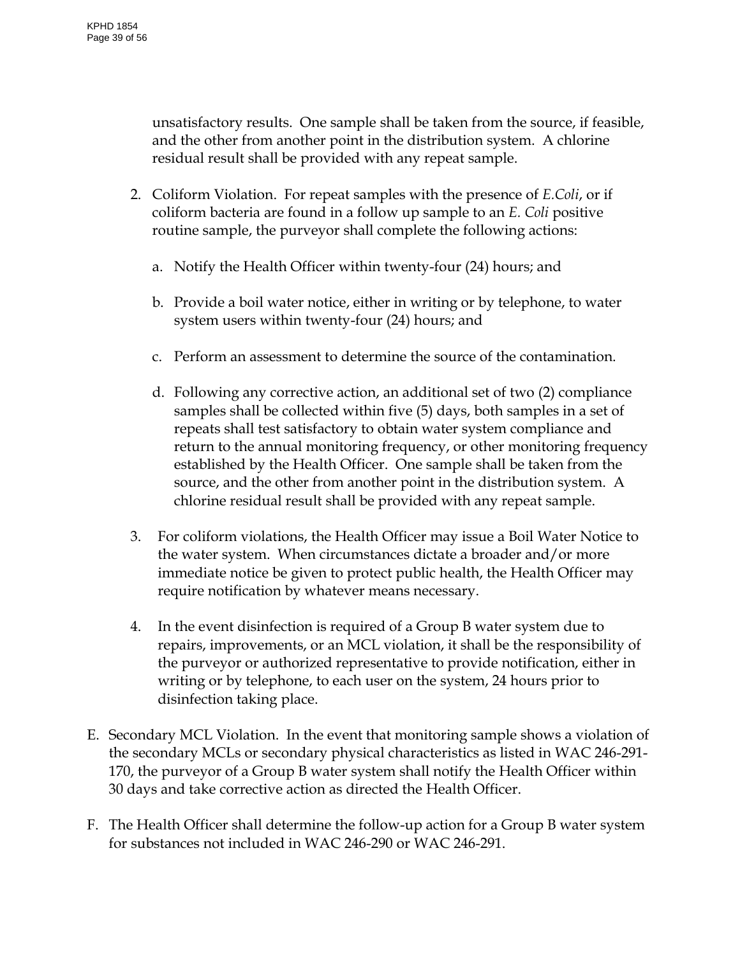unsatisfactory results. One sample shall be taken from the source, if feasible, and the other from another point in the distribution system. A chlorine residual result shall be provided with any repeat sample.

- 2. Coliform Violation. For repeat samples with the presence of *E.Coli*, or if coliform bacteria are found in a follow up sample to an *E. Coli* positive routine sample, the purveyor shall complete the following actions:
	- a. Notify the Health Officer within twenty-four (24) hours; and
	- b. Provide a boil water notice, either in writing or by telephone, to water system users within twenty-four (24) hours; and
	- c. Perform an assessment to determine the source of the contamination.
	- d. Following any corrective action, an additional set of two (2) compliance samples shall be collected within five (5) days, both samples in a set of repeats shall test satisfactory to obtain water system compliance and return to the annual monitoring frequency, or other monitoring frequency established by the Health Officer. One sample shall be taken from the source, and the other from another point in the distribution system. A chlorine residual result shall be provided with any repeat sample.
- 3. For coliform violations, the Health Officer may issue a Boil Water Notice to the water system. When circumstances dictate a broader and/or more immediate notice be given to protect public health, the Health Officer may require notification by whatever means necessary.
- 4. In the event disinfection is required of a Group B water system due to repairs, improvements, or an MCL violation, it shall be the responsibility of the purveyor or authorized representative to provide notification, either in writing or by telephone, to each user on the system, 24 hours prior to disinfection taking place.
- E. Secondary MCL Violation. In the event that monitoring sample shows a violation of the secondary MCLs or secondary physical characteristics as listed in WAC 246-291- 170, the purveyor of a Group B water system shall notify the Health Officer within 30 days and take corrective action as directed the Health Officer.
- F. The Health Officer shall determine the follow-up action for a Group B water system for substances not included in WAC 246-290 or WAC 246-291.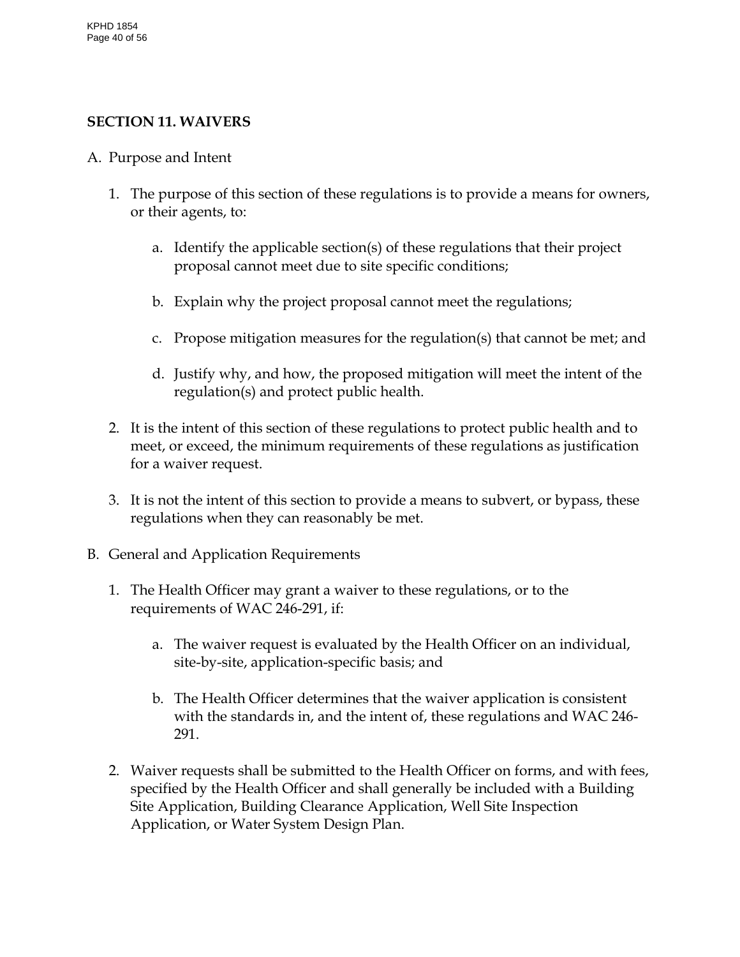#### <span id="page-39-0"></span>**SECTION 11. WAIVERS**

- A. Purpose and Intent
	- 1. The purpose of this section of these regulations is to provide a means for owners, or their agents, to:
		- a. Identify the applicable section(s) of these regulations that their project proposal cannot meet due to site specific conditions;
		- b. Explain why the project proposal cannot meet the regulations;
		- c. Propose mitigation measures for the regulation(s) that cannot be met; and
		- d. Justify why, and how, the proposed mitigation will meet the intent of the regulation(s) and protect public health.
	- 2. It is the intent of this section of these regulations to protect public health and to meet, or exceed, the minimum requirements of these regulations as justification for a waiver request.
	- 3. It is not the intent of this section to provide a means to subvert, or bypass, these regulations when they can reasonably be met.
- B. General and Application Requirements
	- 1. The Health Officer may grant a waiver to these regulations, or to the requirements of WAC 246-291, if:
		- a. The waiver request is evaluated by the Health Officer on an individual, site-by-site, application-specific basis; and
		- b. The Health Officer determines that the waiver application is consistent with the standards in, and the intent of, these regulations and WAC 246- 291.
	- 2. Waiver requests shall be submitted to the Health Officer on forms, and with fees, specified by the Health Officer and shall generally be included with a Building Site Application, Building Clearance Application, Well Site Inspection Application, or Water System Design Plan.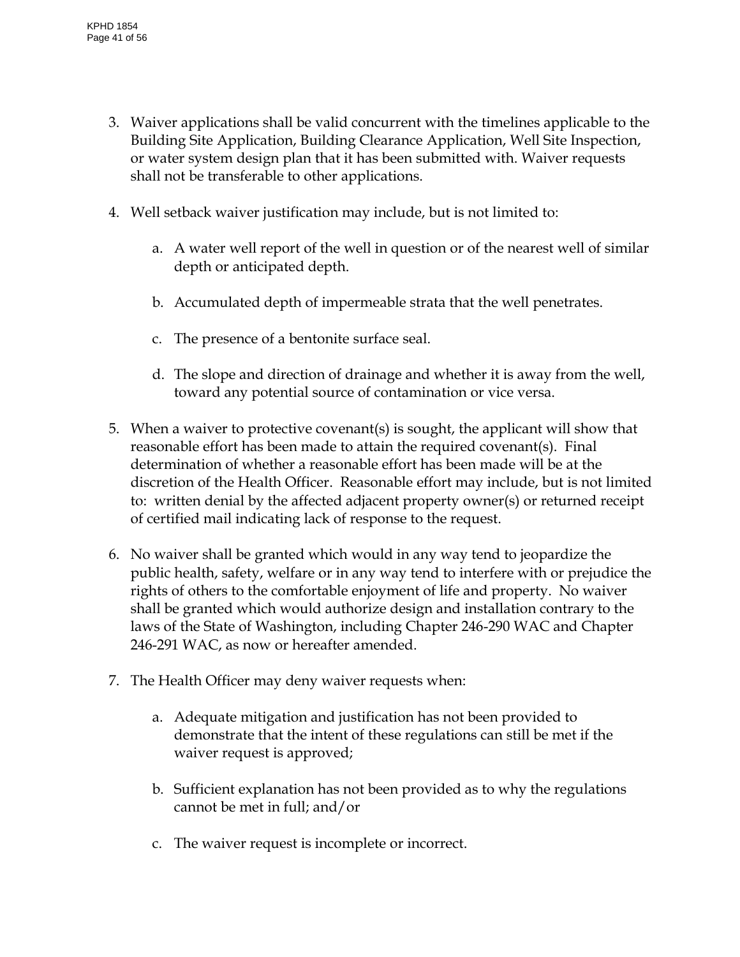- 3. Waiver applications shall be valid concurrent with the timelines applicable to the Building Site Application, Building Clearance Application, Well Site Inspection, or water system design plan that it has been submitted with. Waiver requests shall not be transferable to other applications.
- 4. Well setback waiver justification may include, but is not limited to:
	- a. A water well report of the well in question or of the nearest well of similar depth or anticipated depth.
	- b. Accumulated depth of impermeable strata that the well penetrates.
	- c. The presence of a bentonite surface seal.
	- d. The slope and direction of drainage and whether it is away from the well, toward any potential source of contamination or vice versa.
- 5. When a waiver to protective covenant(s) is sought, the applicant will show that reasonable effort has been made to attain the required covenant(s). Final determination of whether a reasonable effort has been made will be at the discretion of the Health Officer. Reasonable effort may include, but is not limited to: written denial by the affected adjacent property owner(s) or returned receipt of certified mail indicating lack of response to the request.
- 6. No waiver shall be granted which would in any way tend to jeopardize the public health, safety, welfare or in any way tend to interfere with or prejudice the rights of others to the comfortable enjoyment of life and property. No waiver shall be granted which would authorize design and installation contrary to the laws of the State of Washington, including Chapter 246-290 WAC and Chapter 246-291 WAC, as now or hereafter amended.
- 7. The Health Officer may deny waiver requests when:
	- a. Adequate mitigation and justification has not been provided to demonstrate that the intent of these regulations can still be met if the waiver request is approved;
	- b. Sufficient explanation has not been provided as to why the regulations cannot be met in full; and/or
	- c. The waiver request is incomplete or incorrect.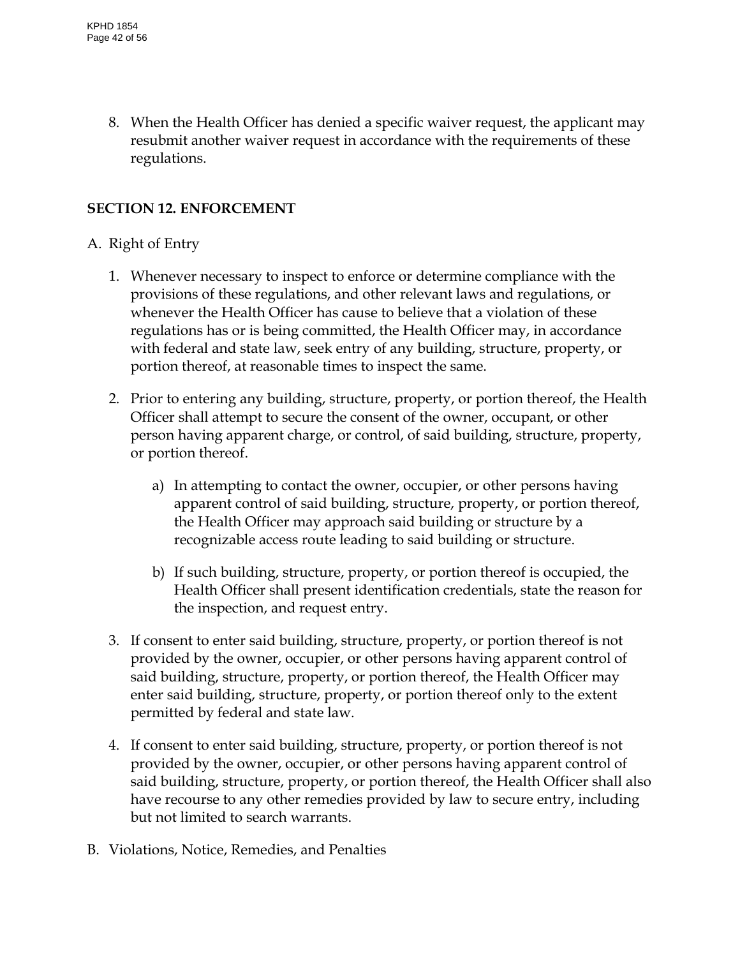8. When the Health Officer has denied a specific waiver request, the applicant may resubmit another waiver request in accordance with the requirements of these regulations.

# <span id="page-41-0"></span>**SECTION 12. ENFORCEMENT**

### A. Right of Entry

- 1. Whenever necessary to inspect to enforce or determine compliance with the provisions of these regulations, and other relevant laws and regulations, or whenever the Health Officer has cause to believe that a violation of these regulations has or is being committed, the Health Officer may, in accordance with federal and state law, seek entry of any building, structure, property, or portion thereof, at reasonable times to inspect the same.
- 2. Prior to entering any building, structure, property, or portion thereof, the Health Officer shall attempt to secure the consent of the owner, occupant, or other person having apparent charge, or control, of said building, structure, property, or portion thereof.
	- a) In attempting to contact the owner, occupier, or other persons having apparent control of said building, structure, property, or portion thereof, the Health Officer may approach said building or structure by a recognizable access route leading to said building or structure.
	- b) If such building, structure, property, or portion thereof is occupied, the Health Officer shall present identification credentials, state the reason for the inspection, and request entry.
- 3. If consent to enter said building, structure, property, or portion thereof is not provided by the owner, occupier, or other persons having apparent control of said building, structure, property, or portion thereof, the Health Officer may enter said building, structure, property, or portion thereof only to the extent permitted by federal and state law.
- 4. If consent to enter said building, structure, property, or portion thereof is not provided by the owner, occupier, or other persons having apparent control of said building, structure, property, or portion thereof, the Health Officer shall also have recourse to any other remedies provided by law to secure entry, including but not limited to search warrants.
- B. Violations, Notice, Remedies, and Penalties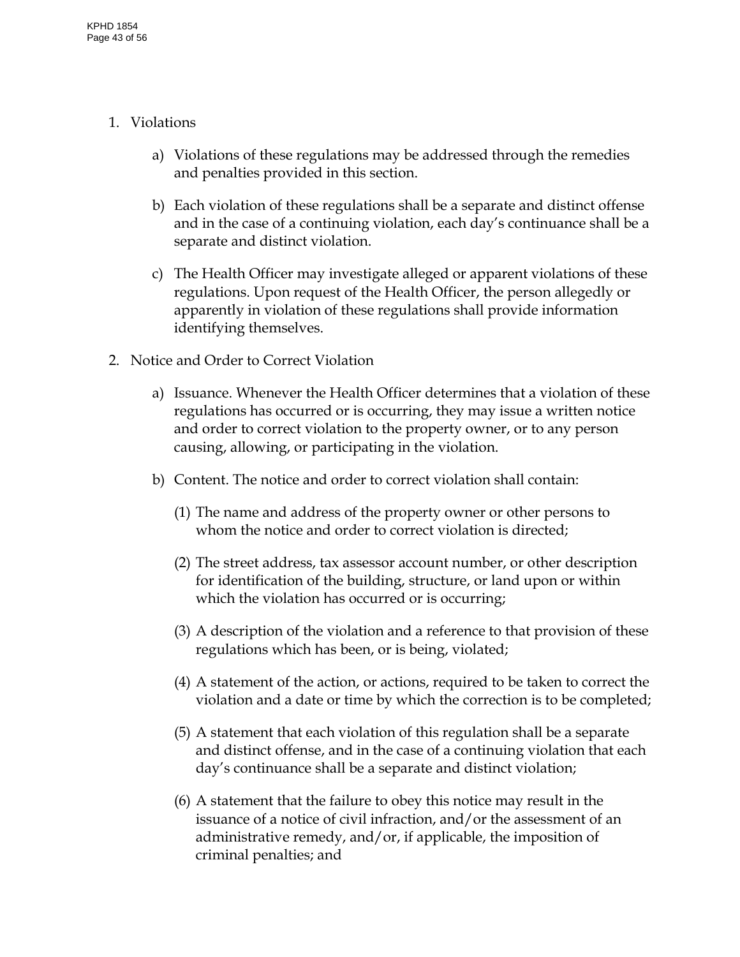- 1. Violations
	- a) Violations of these regulations may be addressed through the remedies and penalties provided in this section.
	- b) Each violation of these regulations shall be a separate and distinct offense and in the case of a continuing violation, each day's continuance shall be a separate and distinct violation.
	- c) The Health Officer may investigate alleged or apparent violations of these regulations. Upon request of the Health Officer, the person allegedly or apparently in violation of these regulations shall provide information identifying themselves.
- 2. Notice and Order to Correct Violation
	- a) Issuance. Whenever the Health Officer determines that a violation of these regulations has occurred or is occurring, they may issue a written notice and order to correct violation to the property owner, or to any person causing, allowing, or participating in the violation.
	- b) Content. The notice and order to correct violation shall contain:
		- (1) The name and address of the property owner or other persons to whom the notice and order to correct violation is directed;
		- (2) The street address, tax assessor account number, or other description for identification of the building, structure, or land upon or within which the violation has occurred or is occurring;
		- (3) A description of the violation and a reference to that provision of these regulations which has been, or is being, violated;
		- (4) A statement of the action, or actions, required to be taken to correct the violation and a date or time by which the correction is to be completed;
		- (5) A statement that each violation of this regulation shall be a separate and distinct offense, and in the case of a continuing violation that each day's continuance shall be a separate and distinct violation;
		- (6) A statement that the failure to obey this notice may result in the issuance of a notice of civil infraction, and/or the assessment of an administrative remedy, and/or, if applicable, the imposition of criminal penalties; and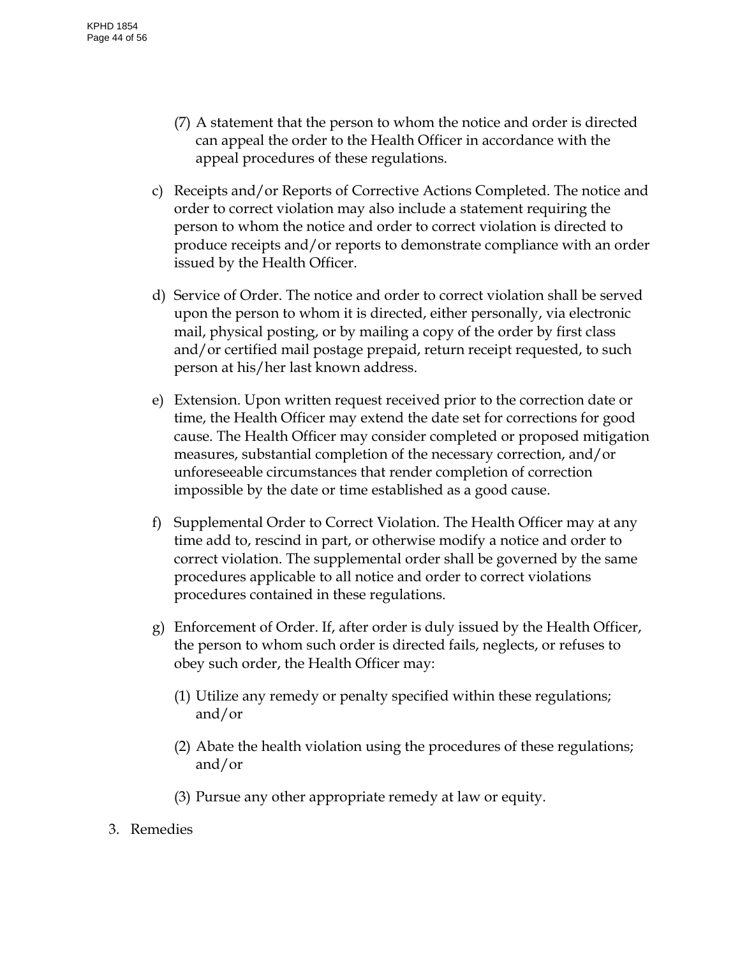- (7) A statement that the person to whom the notice and order is directed can appeal the order to the Health Officer in accordance with the appeal procedures of these regulations.
- c) Receipts and/or Reports of Corrective Actions Completed. The notice and order to correct violation may also include a statement requiring the person to whom the notice and order to correct violation is directed to produce receipts and/or reports to demonstrate compliance with an order issued by the Health Officer.
- d) Service of Order. The notice and order to correct violation shall be served upon the person to whom it is directed, either personally, via electronic mail, physical posting, or by mailing a copy of the order by first class and/or certified mail postage prepaid, return receipt requested, to such person at his/her last known address.
- e) Extension. Upon written request received prior to the correction date or time, the Health Officer may extend the date set for corrections for good cause. The Health Officer may consider completed or proposed mitigation measures, substantial completion of the necessary correction, and/or unforeseeable circumstances that render completion of correction impossible by the date or time established as a good cause.
- f) Supplemental Order to Correct Violation. The Health Officer may at any time add to, rescind in part, or otherwise modify a notice and order to correct violation. The supplemental order shall be governed by the same procedures applicable to all notice and order to correct violations procedures contained in these regulations.
- g) Enforcement of Order. If, after order is duly issued by the Health Officer, the person to whom such order is directed fails, neglects, or refuses to obey such order, the Health Officer may:
	- (1) Utilize any remedy or penalty specified within these regulations; and/or
	- (2) Abate the health violation using the procedures of these regulations; and/or
	- (3) Pursue any other appropriate remedy at law or equity.
- 3. Remedies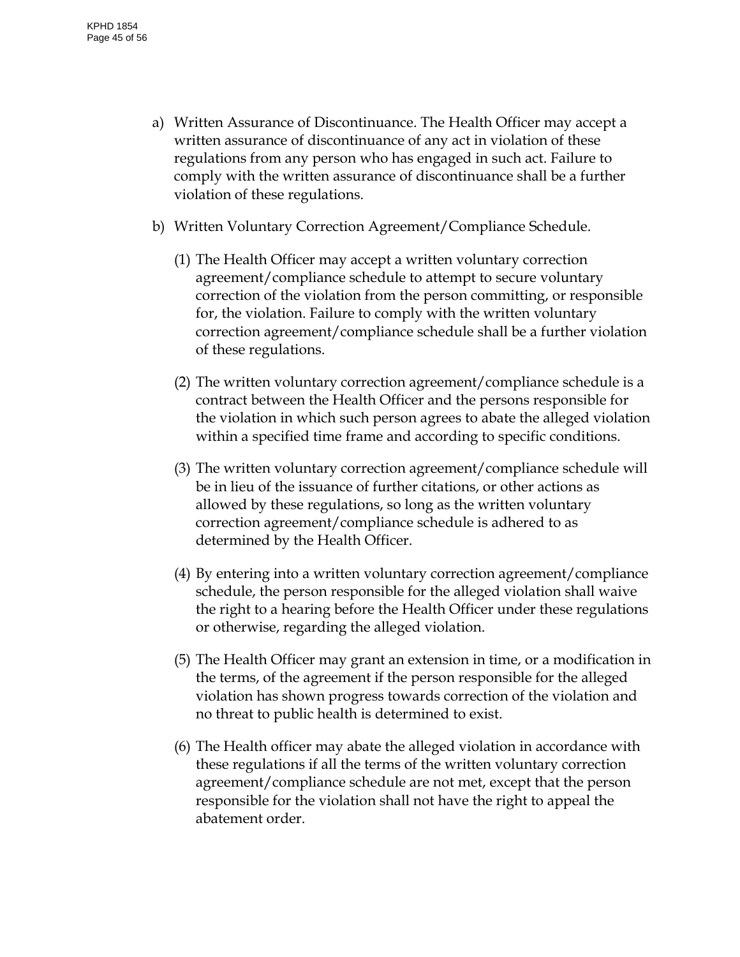- a) Written Assurance of Discontinuance. The Health Officer may accept a written assurance of discontinuance of any act in violation of these regulations from any person who has engaged in such act. Failure to comply with the written assurance of discontinuance shall be a further violation of these regulations.
- b) Written Voluntary Correction Agreement/Compliance Schedule.
	- (1) The Health Officer may accept a written voluntary correction agreement/compliance schedule to attempt to secure voluntary correction of the violation from the person committing, or responsible for, the violation. Failure to comply with the written voluntary correction agreement/compliance schedule shall be a further violation of these regulations.
	- (2) The written voluntary correction agreement/compliance schedule is a contract between the Health Officer and the persons responsible for the violation in which such person agrees to abate the alleged violation within a specified time frame and according to specific conditions.
	- (3) The written voluntary correction agreement/compliance schedule will be in lieu of the issuance of further citations, or other actions as allowed by these regulations, so long as the written voluntary correction agreement/compliance schedule is adhered to as determined by the Health Officer.
	- (4) By entering into a written voluntary correction agreement/compliance schedule, the person responsible for the alleged violation shall waive the right to a hearing before the Health Officer under these regulations or otherwise, regarding the alleged violation.
	- (5) The Health Officer may grant an extension in time, or a modification in the terms, of the agreement if the person responsible for the alleged violation has shown progress towards correction of the violation and no threat to public health is determined to exist.
	- (6) The Health officer may abate the alleged violation in accordance with these regulations if all the terms of the written voluntary correction agreement/compliance schedule are not met, except that the person responsible for the violation shall not have the right to appeal the abatement order.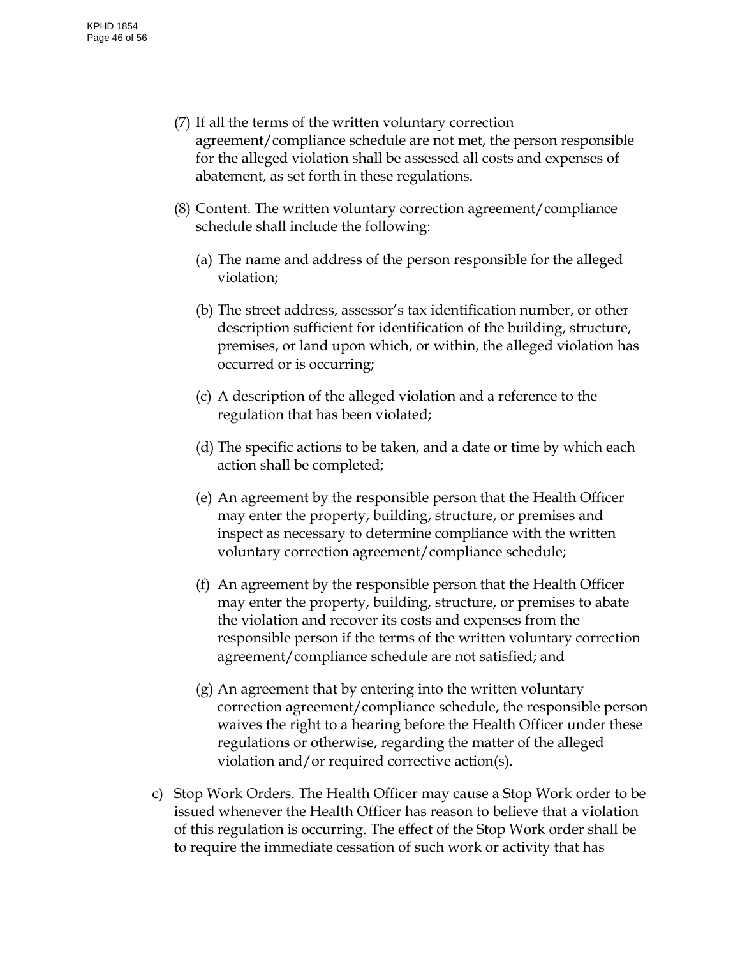- (7) If all the terms of the written voluntary correction agreement/compliance schedule are not met, the person responsible for the alleged violation shall be assessed all costs and expenses of abatement, as set forth in these regulations.
- (8) Content. The written voluntary correction agreement/compliance schedule shall include the following:
	- (a) The name and address of the person responsible for the alleged violation;
	- (b) The street address, assessor's tax identification number, or other description sufficient for identification of the building, structure, premises, or land upon which, or within, the alleged violation has occurred or is occurring;
	- (c) A description of the alleged violation and a reference to the regulation that has been violated;
	- (d) The specific actions to be taken, and a date or time by which each action shall be completed;
	- (e) An agreement by the responsible person that the Health Officer may enter the property, building, structure, or premises and inspect as necessary to determine compliance with the written voluntary correction agreement/compliance schedule;
	- (f) An agreement by the responsible person that the Health Officer may enter the property, building, structure, or premises to abate the violation and recover its costs and expenses from the responsible person if the terms of the written voluntary correction agreement/compliance schedule are not satisfied; and
	- (g) An agreement that by entering into the written voluntary correction agreement/compliance schedule, the responsible person waives the right to a hearing before the Health Officer under these regulations or otherwise, regarding the matter of the alleged violation and/or required corrective action(s).
- c) Stop Work Orders. The Health Officer may cause a Stop Work order to be issued whenever the Health Officer has reason to believe that a violation of this regulation is occurring. The effect of the Stop Work order shall be to require the immediate cessation of such work or activity that has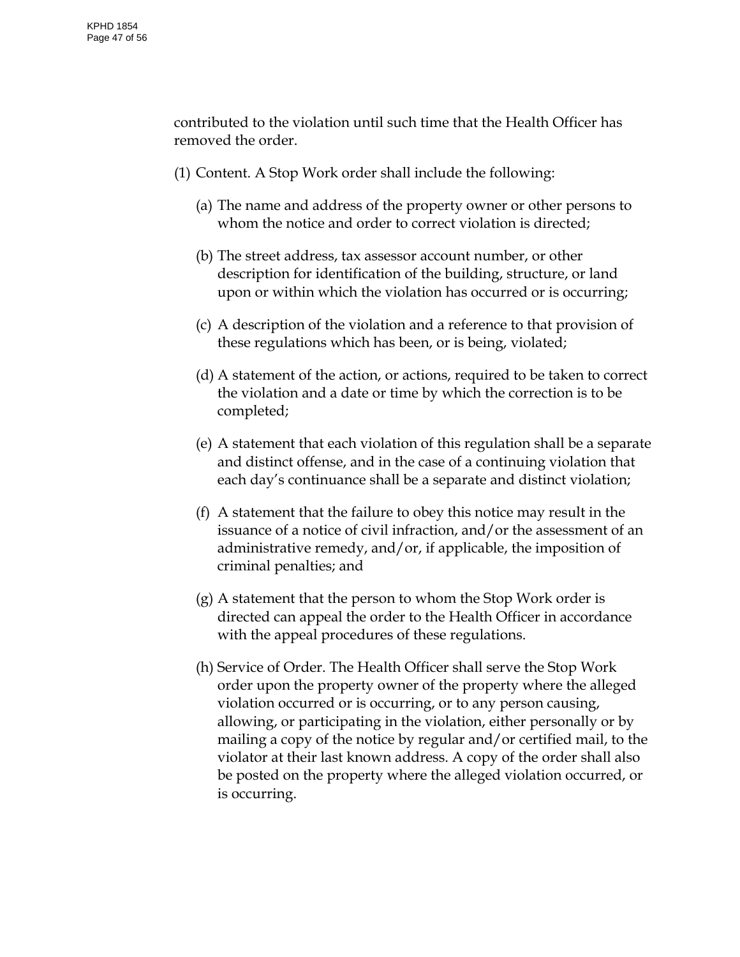contributed to the violation until such time that the Health Officer has removed the order.

- (1) Content. A Stop Work order shall include the following:
	- (a) The name and address of the property owner or other persons to whom the notice and order to correct violation is directed;
	- (b) The street address, tax assessor account number, or other description for identification of the building, structure, or land upon or within which the violation has occurred or is occurring;
	- (c) A description of the violation and a reference to that provision of these regulations which has been, or is being, violated;
	- (d) A statement of the action, or actions, required to be taken to correct the violation and a date or time by which the correction is to be completed;
	- (e) A statement that each violation of this regulation shall be a separate and distinct offense, and in the case of a continuing violation that each day's continuance shall be a separate and distinct violation;
	- (f) A statement that the failure to obey this notice may result in the issuance of a notice of civil infraction, and/or the assessment of an administrative remedy, and/or, if applicable, the imposition of criminal penalties; and
	- (g) A statement that the person to whom the Stop Work order is directed can appeal the order to the Health Officer in accordance with the appeal procedures of these regulations.
	- (h) Service of Order. The Health Officer shall serve the Stop Work order upon the property owner of the property where the alleged violation occurred or is occurring, or to any person causing, allowing, or participating in the violation, either personally or by mailing a copy of the notice by regular and/or certified mail, to the violator at their last known address. A copy of the order shall also be posted on the property where the alleged violation occurred, or is occurring.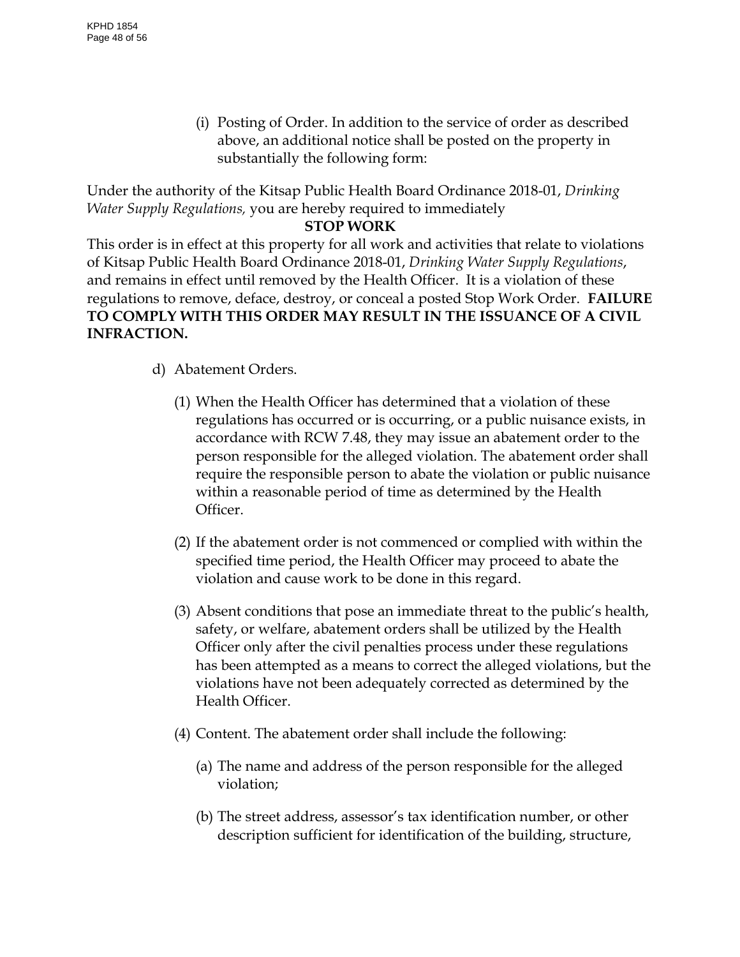(i) Posting of Order. In addition to the service of order as described above, an additional notice shall be posted on the property in substantially the following form:

Under the authority of the Kitsap Public Health Board Ordinance 2018-01, *Drinking Water Supply Regulations,* you are hereby required to immediately

# **STOP WORK**

This order is in effect at this property for all work and activities that relate to violations of Kitsap Public Health Board Ordinance 2018-01, *Drinking Water Supply Regulations*, and remains in effect until removed by the Health Officer. It is a violation of these regulations to remove, deface, destroy, or conceal a posted Stop Work Order. **FAILURE TO COMPLY WITH THIS ORDER MAY RESULT IN THE ISSUANCE OF A CIVIL INFRACTION.**

- d) Abatement Orders.
	- (1) When the Health Officer has determined that a violation of these regulations has occurred or is occurring, or a public nuisance exists, in accordance with RCW 7.48, they may issue an abatement order to the person responsible for the alleged violation. The abatement order shall require the responsible person to abate the violation or public nuisance within a reasonable period of time as determined by the Health Officer.
	- (2) If the abatement order is not commenced or complied with within the specified time period, the Health Officer may proceed to abate the violation and cause work to be done in this regard.
	- (3) Absent conditions that pose an immediate threat to the public's health, safety, or welfare, abatement orders shall be utilized by the Health Officer only after the civil penalties process under these regulations has been attempted as a means to correct the alleged violations, but the violations have not been adequately corrected as determined by the Health Officer.
	- (4) Content. The abatement order shall include the following:
		- (a) The name and address of the person responsible for the alleged violation;
		- (b) The street address, assessor's tax identification number, or other description sufficient for identification of the building, structure,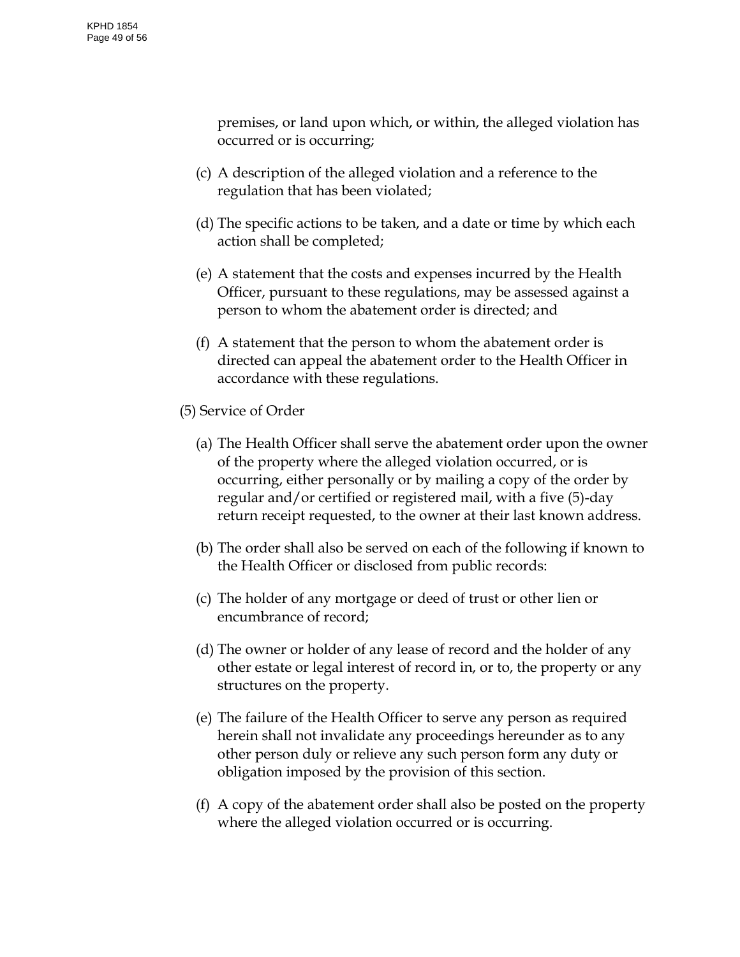premises, or land upon which, or within, the alleged violation has occurred or is occurring;

- (c) A description of the alleged violation and a reference to the regulation that has been violated;
- (d) The specific actions to be taken, and a date or time by which each action shall be completed;
- (e) A statement that the costs and expenses incurred by the Health Officer, pursuant to these regulations, may be assessed against a person to whom the abatement order is directed; and
- (f) A statement that the person to whom the abatement order is directed can appeal the abatement order to the Health Officer in accordance with these regulations.
- (5) Service of Order
	- (a) The Health Officer shall serve the abatement order upon the owner of the property where the alleged violation occurred, or is occurring, either personally or by mailing a copy of the order by regular and/or certified or registered mail, with a five (5)-day return receipt requested, to the owner at their last known address.
	- (b) The order shall also be served on each of the following if known to the Health Officer or disclosed from public records:
	- (c) The holder of any mortgage or deed of trust or other lien or encumbrance of record;
	- (d) The owner or holder of any lease of record and the holder of any other estate or legal interest of record in, or to, the property or any structures on the property.
	- (e) The failure of the Health Officer to serve any person as required herein shall not invalidate any proceedings hereunder as to any other person duly or relieve any such person form any duty or obligation imposed by the provision of this section.
	- (f) A copy of the abatement order shall also be posted on the property where the alleged violation occurred or is occurring.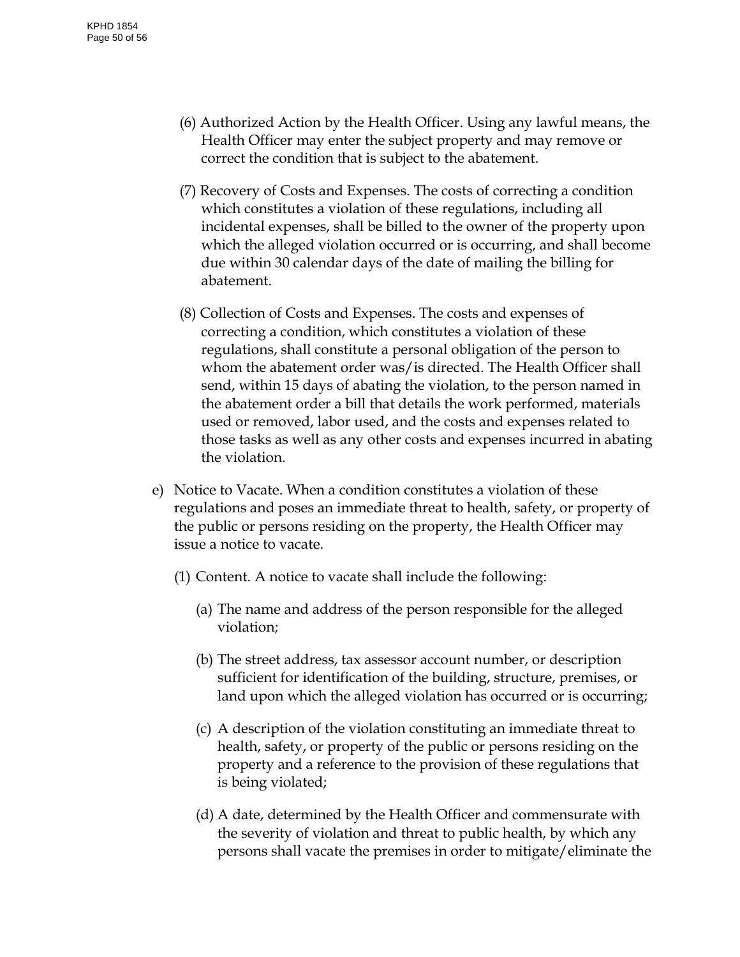- (6) Authorized Action by the Health Officer. Using any lawful means, the Health Officer may enter the subject property and may remove or correct the condition that is subject to the abatement.
- (7) Recovery of Costs and Expenses. The costs of correcting a condition which constitutes a violation of these regulations, including all incidental expenses, shall be billed to the owner of the property upon which the alleged violation occurred or is occurring, and shall become due within 30 calendar days of the date of mailing the billing for abatement.
- (8) Collection of Costs and Expenses. The costs and expenses of correcting a condition, which constitutes a violation of these regulations, shall constitute a personal obligation of the person to whom the abatement order was/is directed. The Health Officer shall send, within 15 days of abating the violation, to the person named in the abatement order a bill that details the work performed, materials used or removed, labor used, and the costs and expenses related to those tasks as well as any other costs and expenses incurred in abating the violation.
- e) Notice to Vacate. When a condition constitutes a violation of these regulations and poses an immediate threat to health, safety, or property of the public or persons residing on the property, the Health Officer may issue a notice to vacate.
	- (1) Content. A notice to vacate shall include the following:
		- (a) The name and address of the person responsible for the alleged violation;
		- (b) The street address, tax assessor account number, or description sufficient for identification of the building, structure, premises, or land upon which the alleged violation has occurred or is occurring;
		- (c) A description of the violation constituting an immediate threat to health, safety, or property of the public or persons residing on the property and a reference to the provision of these regulations that is being violated;
		- (d) A date, determined by the Health Officer and commensurate with the severity of violation and threat to public health, by which any persons shall vacate the premises in order to mitigate/eliminate the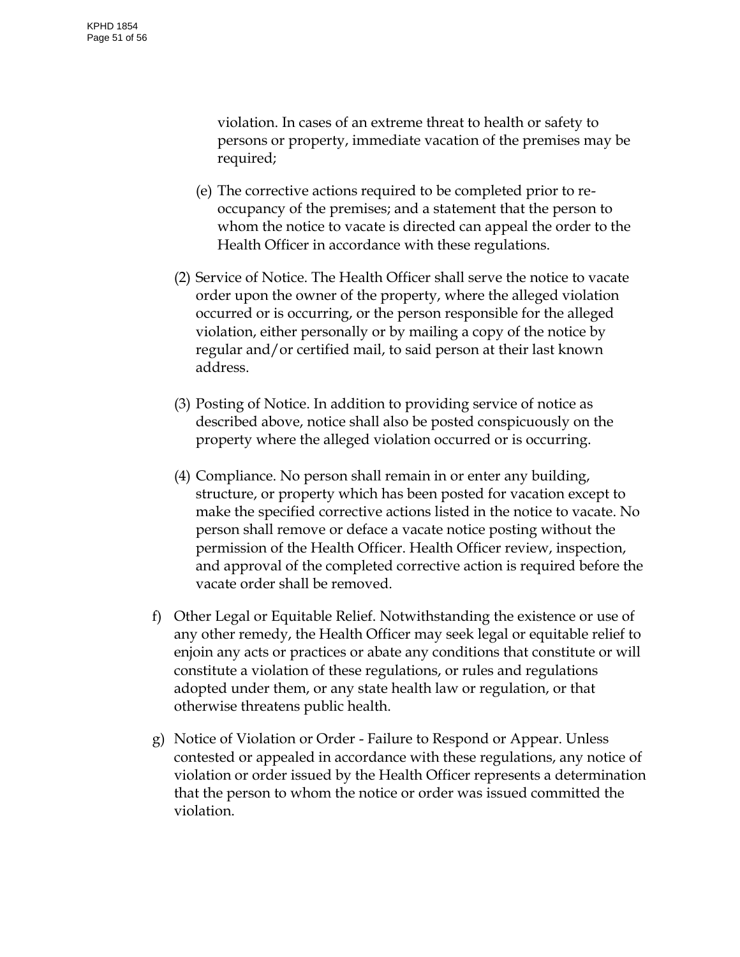violation. In cases of an extreme threat to health or safety to persons or property, immediate vacation of the premises may be required;

- (e) The corrective actions required to be completed prior to reoccupancy of the premises; and a statement that the person to whom the notice to vacate is directed can appeal the order to the Health Officer in accordance with these regulations.
- (2) Service of Notice. The Health Officer shall serve the notice to vacate order upon the owner of the property, where the alleged violation occurred or is occurring, or the person responsible for the alleged violation, either personally or by mailing a copy of the notice by regular and/or certified mail, to said person at their last known address.
- (3) Posting of Notice. In addition to providing service of notice as described above, notice shall also be posted conspicuously on the property where the alleged violation occurred or is occurring.
- (4) Compliance. No person shall remain in or enter any building, structure, or property which has been posted for vacation except to make the specified corrective actions listed in the notice to vacate. No person shall remove or deface a vacate notice posting without the permission of the Health Officer. Health Officer review, inspection, and approval of the completed corrective action is required before the vacate order shall be removed.
- f) Other Legal or Equitable Relief. Notwithstanding the existence or use of any other remedy, the Health Officer may seek legal or equitable relief to enjoin any acts or practices or abate any conditions that constitute or will constitute a violation of these regulations, or rules and regulations adopted under them, or any state health law or regulation, or that otherwise threatens public health.
- g) Notice of Violation or Order Failure to Respond or Appear. Unless contested or appealed in accordance with these regulations, any notice of violation or order issued by the Health Officer represents a determination that the person to whom the notice or order was issued committed the violation.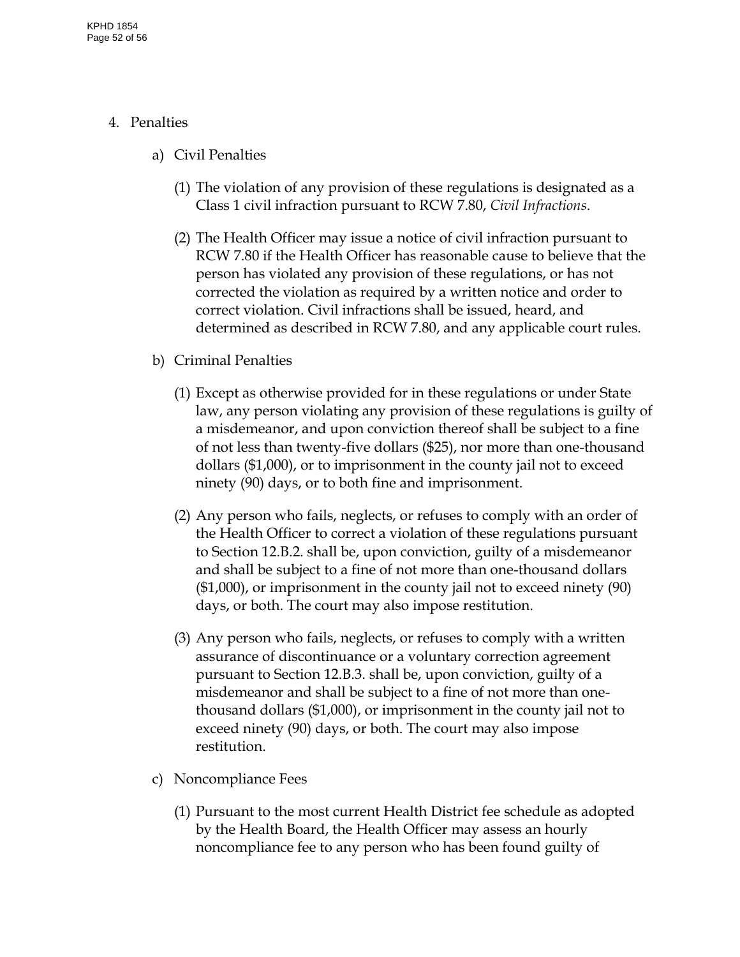# 4. Penalties

- a) Civil Penalties
	- (1) The violation of any provision of these regulations is designated as a Class 1 civil infraction pursuant to RCW 7.80, *Civil Infractions*.
	- (2) The Health Officer may issue a notice of civil infraction pursuant to RCW 7.80 if the Health Officer has reasonable cause to believe that the person has violated any provision of these regulations, or has not corrected the violation as required by a written notice and order to correct violation. Civil infractions shall be issued, heard, and determined as described in RCW 7.80, and any applicable court rules.
- b) Criminal Penalties
	- (1) Except as otherwise provided for in these regulations or under State law, any person violating any provision of these regulations is guilty of a misdemeanor, and upon conviction thereof shall be subject to a fine of not less than twenty-five dollars (\$25), nor more than one-thousand dollars (\$1,000), or to imprisonment in the county jail not to exceed ninety (90) days, or to both fine and imprisonment.
	- (2) Any person who fails, neglects, or refuses to comply with an order of the Health Officer to correct a violation of these regulations pursuant to Section 12.B.2. shall be, upon conviction, guilty of a misdemeanor and shall be subject to a fine of not more than one-thousand dollars (\$1,000), or imprisonment in the county jail not to exceed ninety (90) days, or both. The court may also impose restitution.
	- (3) Any person who fails, neglects, or refuses to comply with a written assurance of discontinuance or a voluntary correction agreement pursuant to Section 12.B.3. shall be, upon conviction, guilty of a misdemeanor and shall be subject to a fine of not more than onethousand dollars (\$1,000), or imprisonment in the county jail not to exceed ninety (90) days, or both. The court may also impose restitution.
- c) Noncompliance Fees
	- (1) Pursuant to the most current Health District fee schedule as adopted by the Health Board, the Health Officer may assess an hourly noncompliance fee to any person who has been found guilty of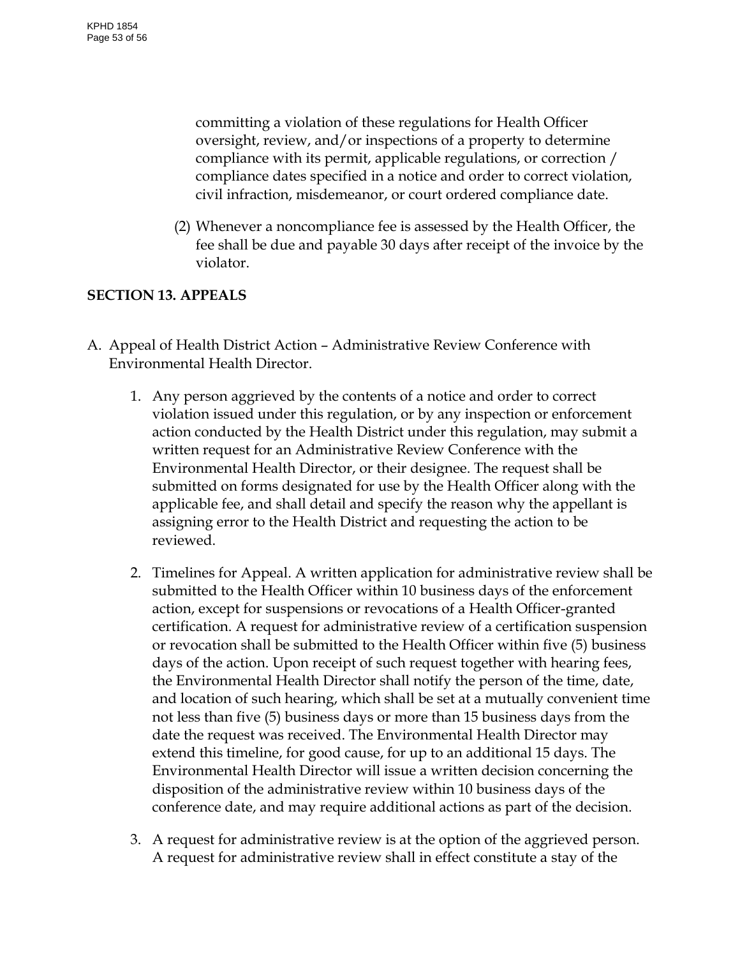committing a violation of these regulations for Health Officer oversight, review, and/or inspections of a property to determine compliance with its permit, applicable regulations, or correction / compliance dates specified in a notice and order to correct violation, civil infraction, misdemeanor, or court ordered compliance date.

(2) Whenever a noncompliance fee is assessed by the Health Officer, the fee shall be due and payable 30 days after receipt of the invoice by the violator.

# <span id="page-52-0"></span>**SECTION 13. APPEALS**

- A. Appeal of Health District Action Administrative Review Conference with Environmental Health Director.
	- 1. Any person aggrieved by the contents of a notice and order to correct violation issued under this regulation, or by any inspection or enforcement action conducted by the Health District under this regulation, may submit a written request for an Administrative Review Conference with the Environmental Health Director, or their designee. The request shall be submitted on forms designated for use by the Health Officer along with the applicable fee, and shall detail and specify the reason why the appellant is assigning error to the Health District and requesting the action to be reviewed.
	- 2. Timelines for Appeal. A written application for administrative review shall be submitted to the Health Officer within 10 business days of the enforcement action, except for suspensions or revocations of a Health Officer-granted certification. A request for administrative review of a certification suspension or revocation shall be submitted to the Health Officer within five (5) business days of the action. Upon receipt of such request together with hearing fees, the Environmental Health Director shall notify the person of the time, date, and location of such hearing, which shall be set at a mutually convenient time not less than five (5) business days or more than 15 business days from the date the request was received. The Environmental Health Director may extend this timeline, for good cause, for up to an additional 15 days. The Environmental Health Director will issue a written decision concerning the disposition of the administrative review within 10 business days of the conference date, and may require additional actions as part of the decision.
	- 3. A request for administrative review is at the option of the aggrieved person. A request for administrative review shall in effect constitute a stay of the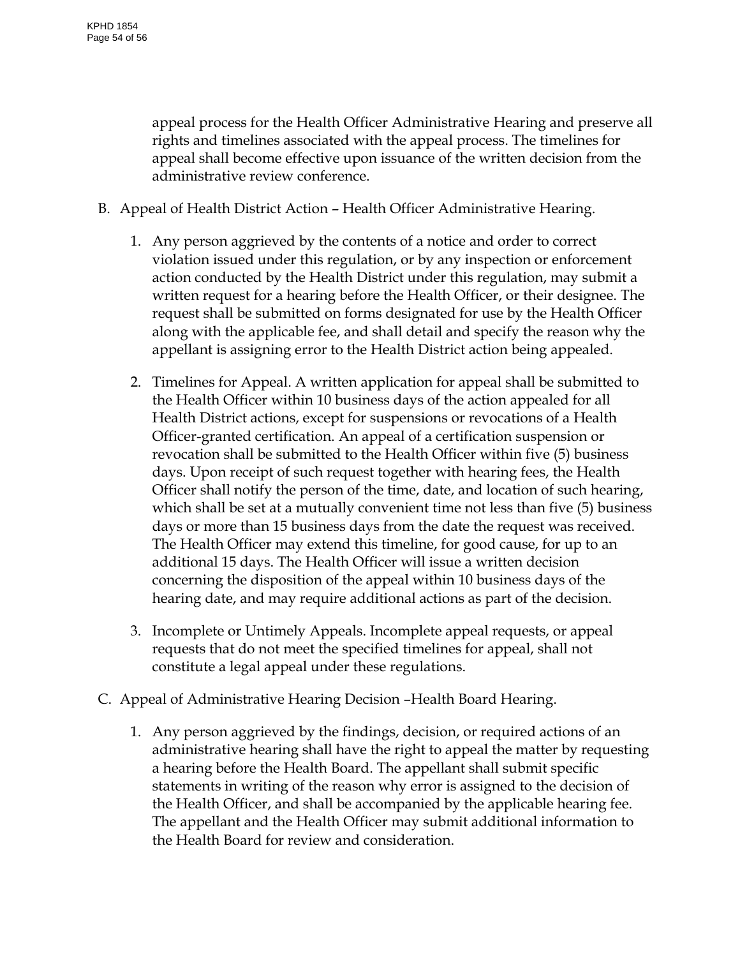appeal process for the Health Officer Administrative Hearing and preserve all rights and timelines associated with the appeal process. The timelines for appeal shall become effective upon issuance of the written decision from the administrative review conference.

- B. Appeal of Health District Action Health Officer Administrative Hearing.
	- 1. Any person aggrieved by the contents of a notice and order to correct violation issued under this regulation, or by any inspection or enforcement action conducted by the Health District under this regulation, may submit a written request for a hearing before the Health Officer, or their designee. The request shall be submitted on forms designated for use by the Health Officer along with the applicable fee, and shall detail and specify the reason why the appellant is assigning error to the Health District action being appealed.
	- 2. Timelines for Appeal. A written application for appeal shall be submitted to the Health Officer within 10 business days of the action appealed for all Health District actions, except for suspensions or revocations of a Health Officer-granted certification. An appeal of a certification suspension or revocation shall be submitted to the Health Officer within five (5) business days. Upon receipt of such request together with hearing fees, the Health Officer shall notify the person of the time, date, and location of such hearing, which shall be set at a mutually convenient time not less than five (5) business days or more than 15 business days from the date the request was received. The Health Officer may extend this timeline, for good cause, for up to an additional 15 days. The Health Officer will issue a written decision concerning the disposition of the appeal within 10 business days of the hearing date, and may require additional actions as part of the decision.
	- 3. Incomplete or Untimely Appeals. Incomplete appeal requests, or appeal requests that do not meet the specified timelines for appeal, shall not constitute a legal appeal under these regulations.
- C. Appeal of Administrative Hearing Decision –Health Board Hearing.
	- 1. Any person aggrieved by the findings, decision, or required actions of an administrative hearing shall have the right to appeal the matter by requesting a hearing before the Health Board. The appellant shall submit specific statements in writing of the reason why error is assigned to the decision of the Health Officer, and shall be accompanied by the applicable hearing fee. The appellant and the Health Officer may submit additional information to the Health Board for review and consideration.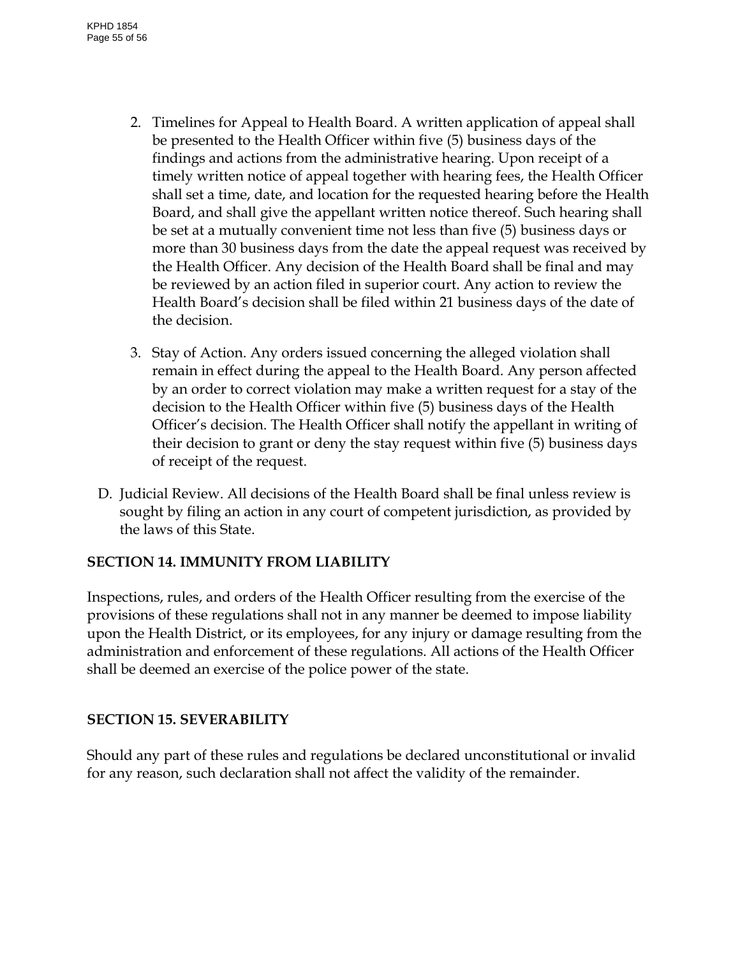- 2. Timelines for Appeal to Health Board. A written application of appeal shall be presented to the Health Officer within five (5) business days of the findings and actions from the administrative hearing. Upon receipt of a timely written notice of appeal together with hearing fees, the Health Officer shall set a time, date, and location for the requested hearing before the Health Board, and shall give the appellant written notice thereof. Such hearing shall be set at a mutually convenient time not less than five (5) business days or more than 30 business days from the date the appeal request was received by the Health Officer. Any decision of the Health Board shall be final and may be reviewed by an action filed in superior court. Any action to review the Health Board's decision shall be filed within 21 business days of the date of the decision.
- 3. Stay of Action. Any orders issued concerning the alleged violation shall remain in effect during the appeal to the Health Board. Any person affected by an order to correct violation may make a written request for a stay of the decision to the Health Officer within five (5) business days of the Health Officer's decision. The Health Officer shall notify the appellant in writing of their decision to grant or deny the stay request within five (5) business days of receipt of the request.
- D. Judicial Review. All decisions of the Health Board shall be final unless review is sought by filing an action in any court of competent jurisdiction, as provided by the laws of this State.

# <span id="page-54-0"></span>**SECTION 14. IMMUNITY FROM LIABILITY**

Inspections, rules, and orders of the Health Officer resulting from the exercise of the provisions of these regulations shall not in any manner be deemed to impose liability upon the Health District, or its employees, for any injury or damage resulting from the administration and enforcement of these regulations. All actions of the Health Officer shall be deemed an exercise of the police power of the state.

# <span id="page-54-1"></span>**SECTION 15. SEVERABILITY**

Should any part of these rules and regulations be declared unconstitutional or invalid for any reason, such declaration shall not affect the validity of the remainder.